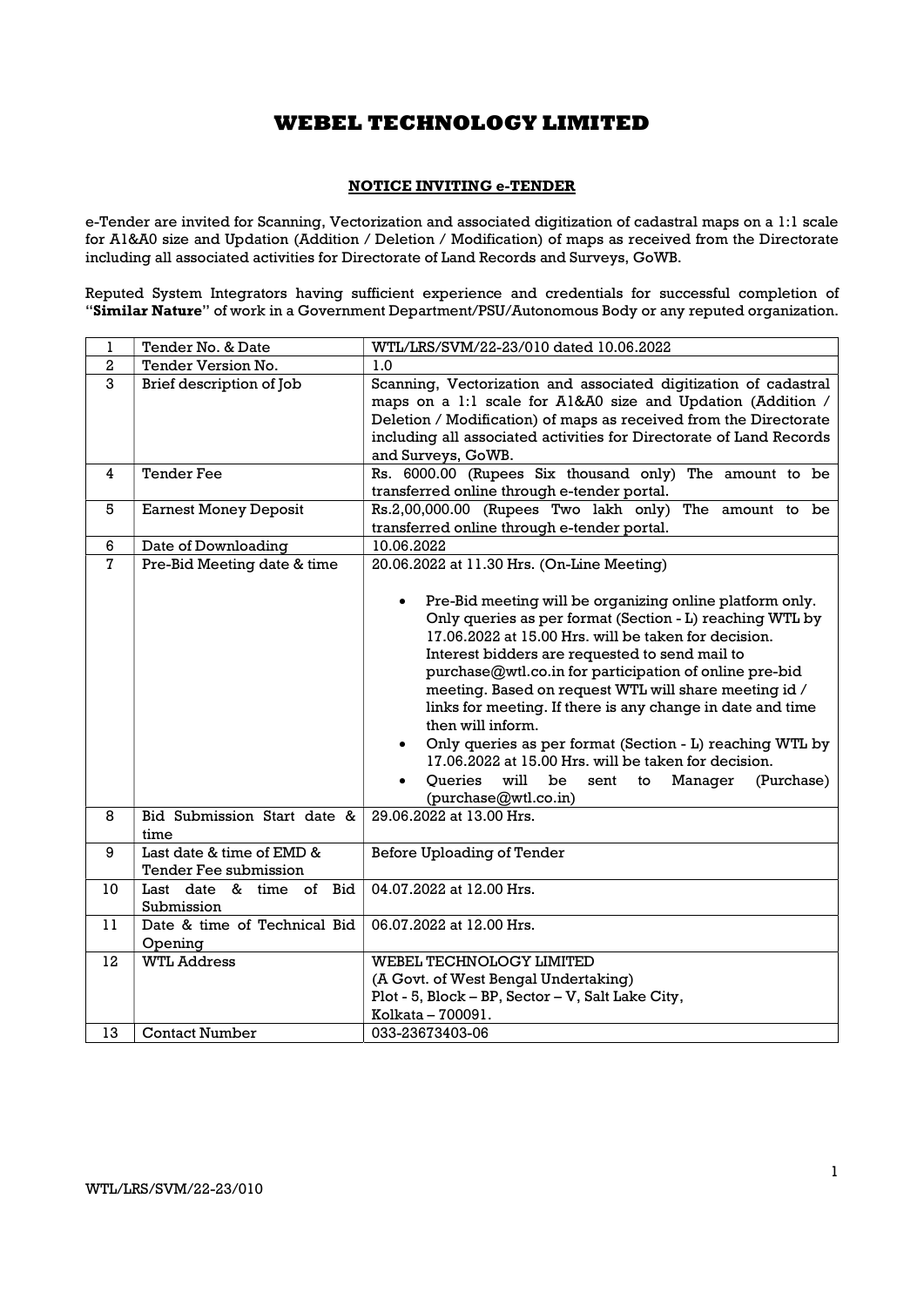### NOTICE INVITING e-TENDER

e-Tender are invited for Scanning, Vectorization and associated digitization of cadastral maps on a 1:1 scale for A1&A0 size and Updation (Addition / Deletion / Modification) of maps as received from the Directorate including all associated activities for Directorate of Land Records and Surveys, GoWB.

Reputed System Integrators having sufficient experience and credentials for successful completion of "Similar Nature" of work in a Government Department/PSU/Autonomous Body or any reputed organization.

| 1              | Tender No. & Date                                  | WTL/LRS/SVM/22-23/010 dated 10.06.2022                                                                                                                                                                                                                                                                                                                                                                                                                                                                                                                                                                                                                                                                |
|----------------|----------------------------------------------------|-------------------------------------------------------------------------------------------------------------------------------------------------------------------------------------------------------------------------------------------------------------------------------------------------------------------------------------------------------------------------------------------------------------------------------------------------------------------------------------------------------------------------------------------------------------------------------------------------------------------------------------------------------------------------------------------------------|
| $\,2\,$        | Tender Version No.                                 | 1.0                                                                                                                                                                                                                                                                                                                                                                                                                                                                                                                                                                                                                                                                                                   |
| 3              | Brief description of Job                           | Scanning, Vectorization and associated digitization of cadastral<br>maps on a 1:1 scale for A1&A0 size and Updation (Addition /<br>Deletion / Modification) of maps as received from the Directorate<br>including all associated activities for Directorate of Land Records<br>and Surveys, GoWB.                                                                                                                                                                                                                                                                                                                                                                                                     |
| 4              | <b>Tender Fee</b>                                  | Rs. 6000.00 (Rupees Six thousand only) The amount to be<br>transferred online through e-tender portal.                                                                                                                                                                                                                                                                                                                                                                                                                                                                                                                                                                                                |
| 5              | <b>Earnest Money Deposit</b>                       | Rs.2,00,000.00 (Rupees Two lakh only) The amount to be<br>transferred online through e-tender portal.                                                                                                                                                                                                                                                                                                                                                                                                                                                                                                                                                                                                 |
| 6              | Date of Downloading                                | 10.06.2022                                                                                                                                                                                                                                                                                                                                                                                                                                                                                                                                                                                                                                                                                            |
| $\overline{7}$ | Pre-Bid Meeting date & time                        | 20.06.2022 at 11.30 Hrs. (On-Line Meeting)<br>Pre-Bid meeting will be organizing online platform only.<br>$\bullet$<br>Only queries as per format (Section - L) reaching WTL by<br>17.06.2022 at 15.00 Hrs. will be taken for decision.<br>Interest bidders are requested to send mail to<br>purchase@wtl.co.in for participation of online pre-bid<br>meeting. Based on request WTL will share meeting id /<br>links for meeting. If there is any change in date and time<br>then will inform.<br>Only queries as per format (Section - L) reaching WTL by<br>17.06.2022 at 15.00 Hrs. will be taken for decision.<br>Oueries<br>will<br>be<br>(Purchase)<br>sent to Manager<br>(purchase@wtl.co.in) |
| 8              | Bid Submission Start date &<br>time                | 29.06.2022 at 13.00 Hrs.                                                                                                                                                                                                                                                                                                                                                                                                                                                                                                                                                                                                                                                                              |
| 9              | Last date & time of EMD &<br>Tender Fee submission | Before Uploading of Tender                                                                                                                                                                                                                                                                                                                                                                                                                                                                                                                                                                                                                                                                            |
| 10             | Last date & time of Bid<br>Submission              | 04.07.2022 at 12.00 Hrs.                                                                                                                                                                                                                                                                                                                                                                                                                                                                                                                                                                                                                                                                              |
| 11             | Date & time of Technical Bid<br>Opening            | 06.07.2022 at 12.00 Hrs.                                                                                                                                                                                                                                                                                                                                                                                                                                                                                                                                                                                                                                                                              |
| 12             | <b>WTL Address</b>                                 | WEBEL TECHNOLOGY LIMITED<br>(A Govt. of West Bengal Undertaking)<br>Plot - 5, Block - BP, Sector - V, Salt Lake City,<br>Kolkata - 700091.                                                                                                                                                                                                                                                                                                                                                                                                                                                                                                                                                            |
| 13             | <b>Contact Number</b>                              | 033-23673403-06                                                                                                                                                                                                                                                                                                                                                                                                                                                                                                                                                                                                                                                                                       |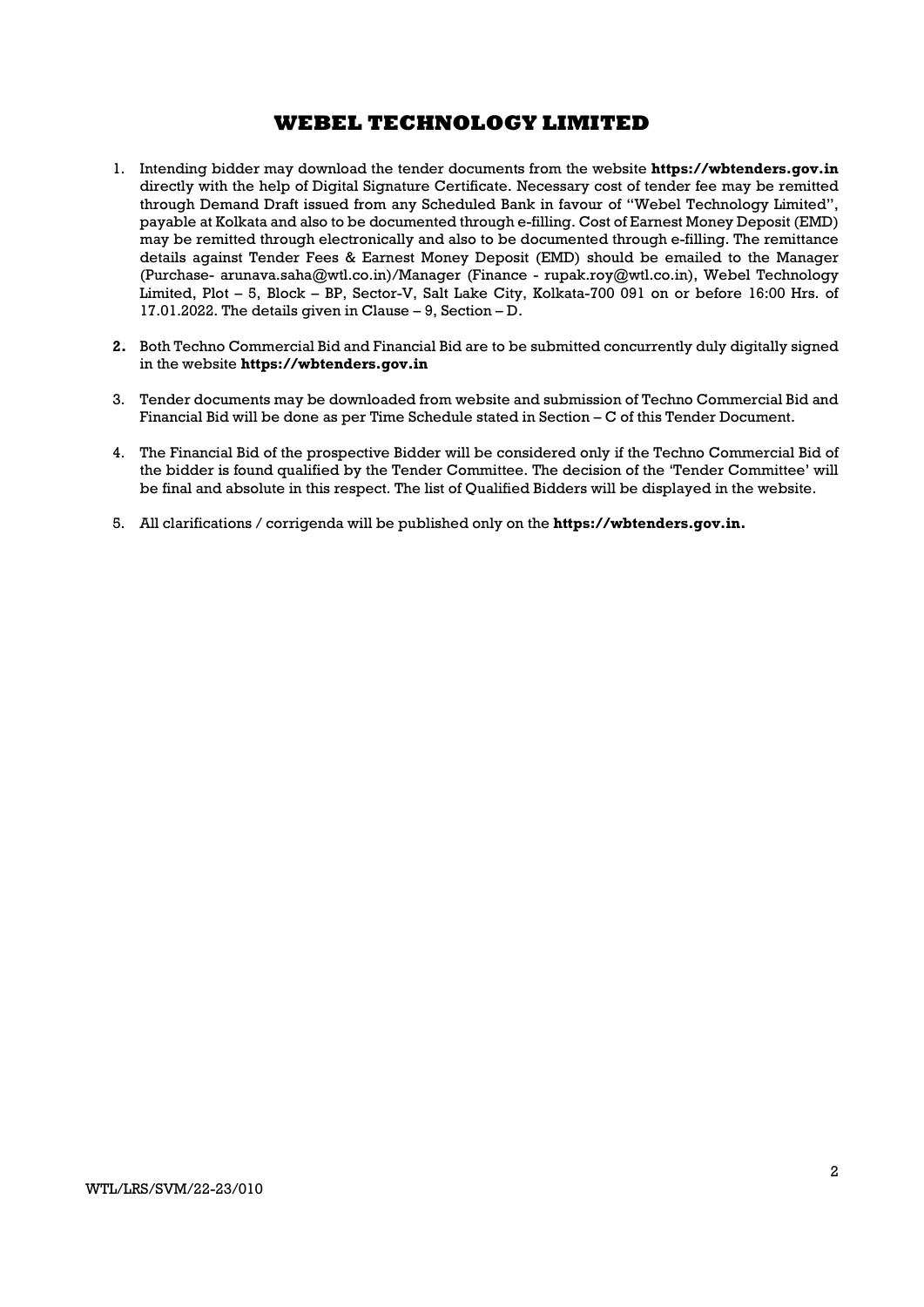- 1. Intending bidder may download the tender documents from the website **https://wbtenders.gov.in** directly with the help of Digital Signature Certificate. Necessary cost of tender fee may be remitted through Demand Draft issued from any Scheduled Bank in favour of "Webel Technology Limited", payable at Kolkata and also to be documented through e-filling. Cost of Earnest Money Deposit (EMD) may be remitted through electronically and also to be documented through e-filling. The remittance details against Tender Fees & Earnest Money Deposit (EMD) should be emailed to the Manager (Purchase- arunava.saha@wtl.co.in)/Manager (Finance - rupak.roy@wtl.co.in), Webel Technology Limited, Plot – 5, Block – BP, Sector-V, Salt Lake City, Kolkata-700 091 on or before 16:00 Hrs. of 17.01.2022. The details given in Clause – 9, Section – D.
- 2. Both Techno Commercial Bid and Financial Bid are to be submitted concurrently duly digitally signed in the website https://wbtenders.gov.in
- 3. Tender documents may be downloaded from website and submission of Techno Commercial Bid and Financial Bid will be done as per Time Schedule stated in Section – C of this Tender Document.
- 4. The Financial Bid of the prospective Bidder will be considered only if the Techno Commercial Bid of the bidder is found qualified by the Tender Committee. The decision of the 'Tender Committee' will be final and absolute in this respect. The list of Qualified Bidders will be displayed in the website.
- 5. All clarifications / corrigenda will be published only on the https://wbtenders.gov.in.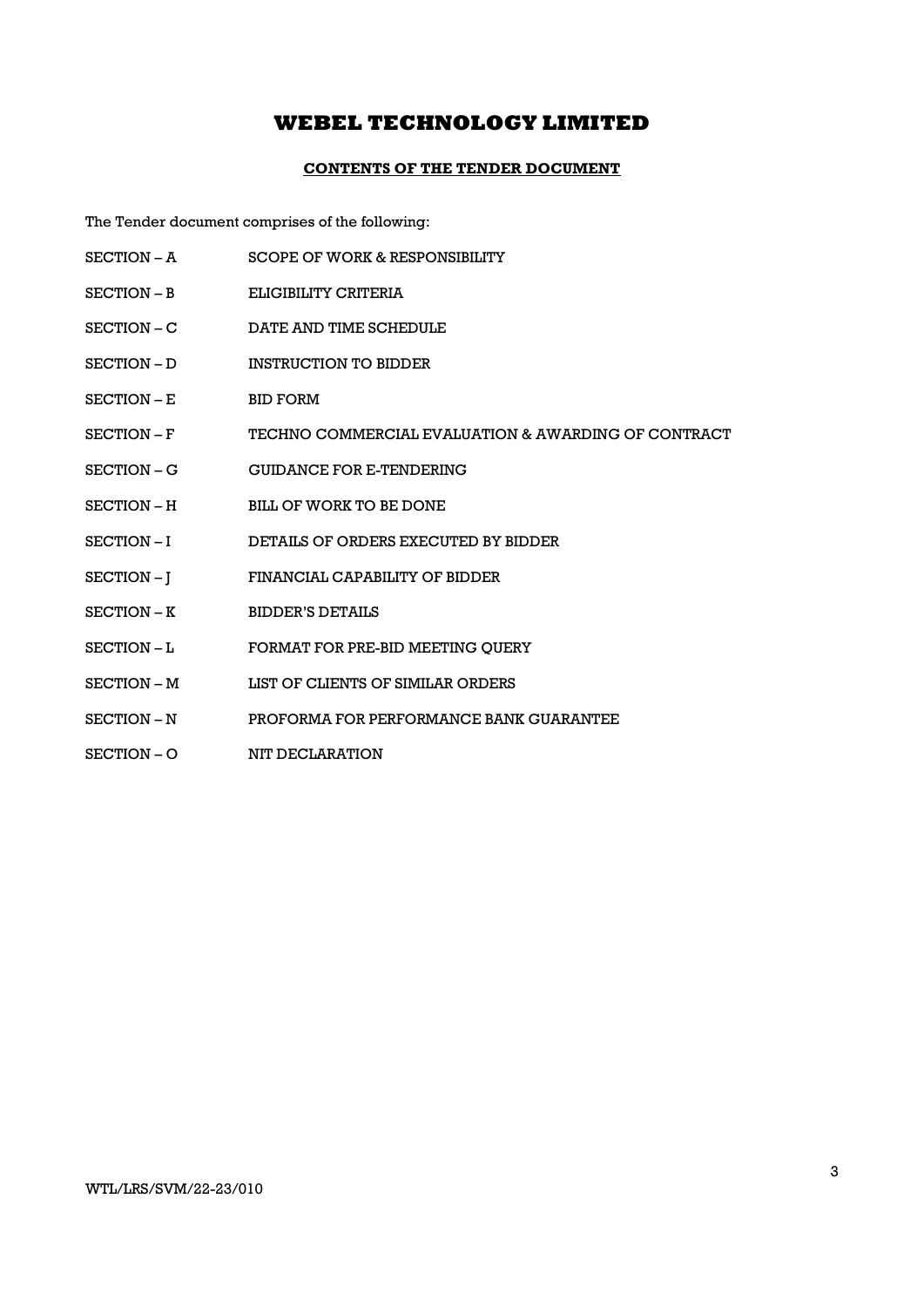### CONTENTS OF THE TENDER DOCUMENT

The Tender document comprises of the following:

- SECTION A SCOPE OF WORK & RESPONSIBILITY
- SECTION B ELIGIBILITY CRITERIA
- SECTION C DATE AND TIME SCHEDULE
- SECTION D INSTRUCTION TO BIDDER
- SECTION E BID FORM
- SECTION F TECHNO COMMERCIAL EVALUATION & AWARDING OF CONTRACT
- SECTION G GUIDANCE FOR E-TENDERING
- SECTION H BILL OF WORK TO BE DONE
- SECTION I DETAILS OF ORDERS EXECUTED BY BIDDER
- SECTION J FINANCIAL CAPABILITY OF BIDDER
- SECTION K BIDDER'S DETAILS
- SECTION L FORMAT FOR PRE-BID MEETING OUERY
- SECTION M LIST OF CLIENTS OF SIMILAR ORDERS
- SECTION N PROFORMA FOR PERFORMANCE BANK GUARANTEE
- SECTION O NIT DECLARATION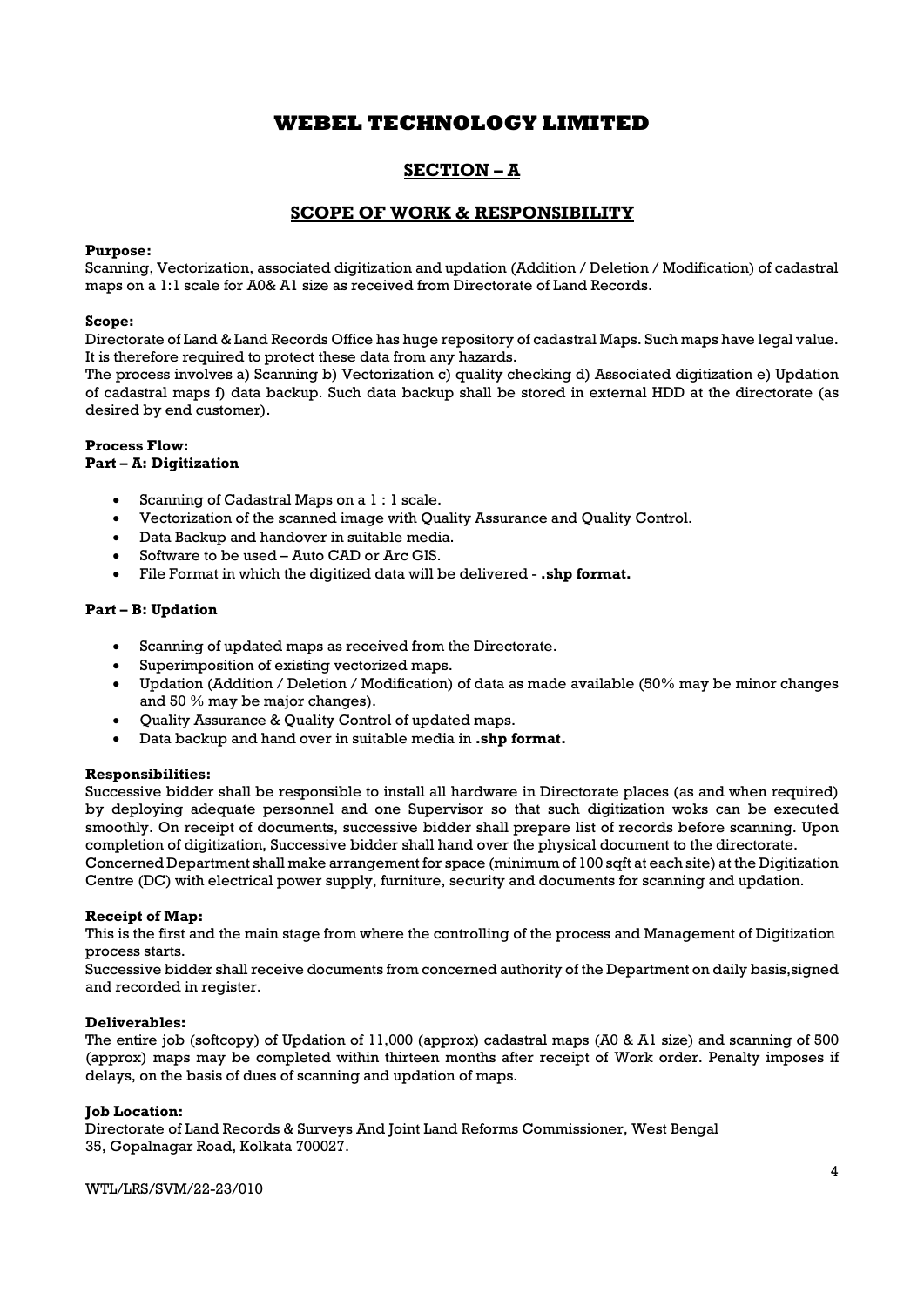# SECTION – A

## SCOPE OF WORK & RESPONSIBILITY

### Purpose:

Scanning, Vectorization, associated digitization and updation (Addition / Deletion / Modification) of cadastral maps on a 1:1 scale for A0& A1 size as received from Directorate of Land Records.

#### Scope:

Directorate of Land & Land Records Office has huge repository of cadastral Maps. Such maps have legal value. It is therefore required to protect these data from any hazards.

The process involves a) Scanning b) Vectorization c) quality checking d) Associated digitization e) Updation of cadastral maps f) data backup. Such data backup shall be stored in external HDD at the directorate (as desired by end customer).

#### Process Flow: Part – A: Digitization

- Scanning of Cadastral Maps on a 1 : 1 scale.
- Vectorization of the scanned image with Quality Assurance and Quality Control.
- Data Backup and handover in suitable media.
- Software to be used Auto CAD or Arc GIS.
- File Format in which the digitized data will be delivered .shp format.

#### Part – B: Updation

- Scanning of updated maps as received from the Directorate.
- Superimposition of existing vectorized maps.
- Updation (Addition / Deletion / Modification) of data as made available (50% may be minor changes and 50 % may be major changes).
- Quality Assurance & Quality Control of updated maps.
- Data backup and hand over in suitable media in .shp format.

### Responsibilities:

Successive bidder shall be responsible to install all hardware in Directorate places (as and when required) by deploying adequate personnel and one Supervisor so that such digitization woks can be executed smoothly. On receipt of documents, successive bidder shall prepare list of records before scanning. Upon completion of digitization, Successive bidder shall hand over the physical document to the directorate. Concerned Department shall make arrangement for space (minimum of 100 sqft at each site) at the Digitization Centre (DC) with electrical power supply, furniture, security and documents for scanning and updation.

#### Receipt of Map:

This is the first and the main stage from where the controlling of the process and Management of Digitization process starts.

Successive bidder shall receive documents from concerned authority of the Department on daily basis,signed and recorded in register.

#### Deliverables:

The entire job (softcopy) of Updation of 11,000 (approx) cadastral maps (A0 & A1 size) and scanning of 500 (approx) maps may be completed within thirteen months after receipt of Work order. Penalty imposes if delays, on the basis of dues of scanning and updation of maps.

#### Job Location:

Directorate of Land Records & Surveys And Joint Land Reforms Commissioner, West Bengal 35, Gopalnagar Road, Kolkata 700027.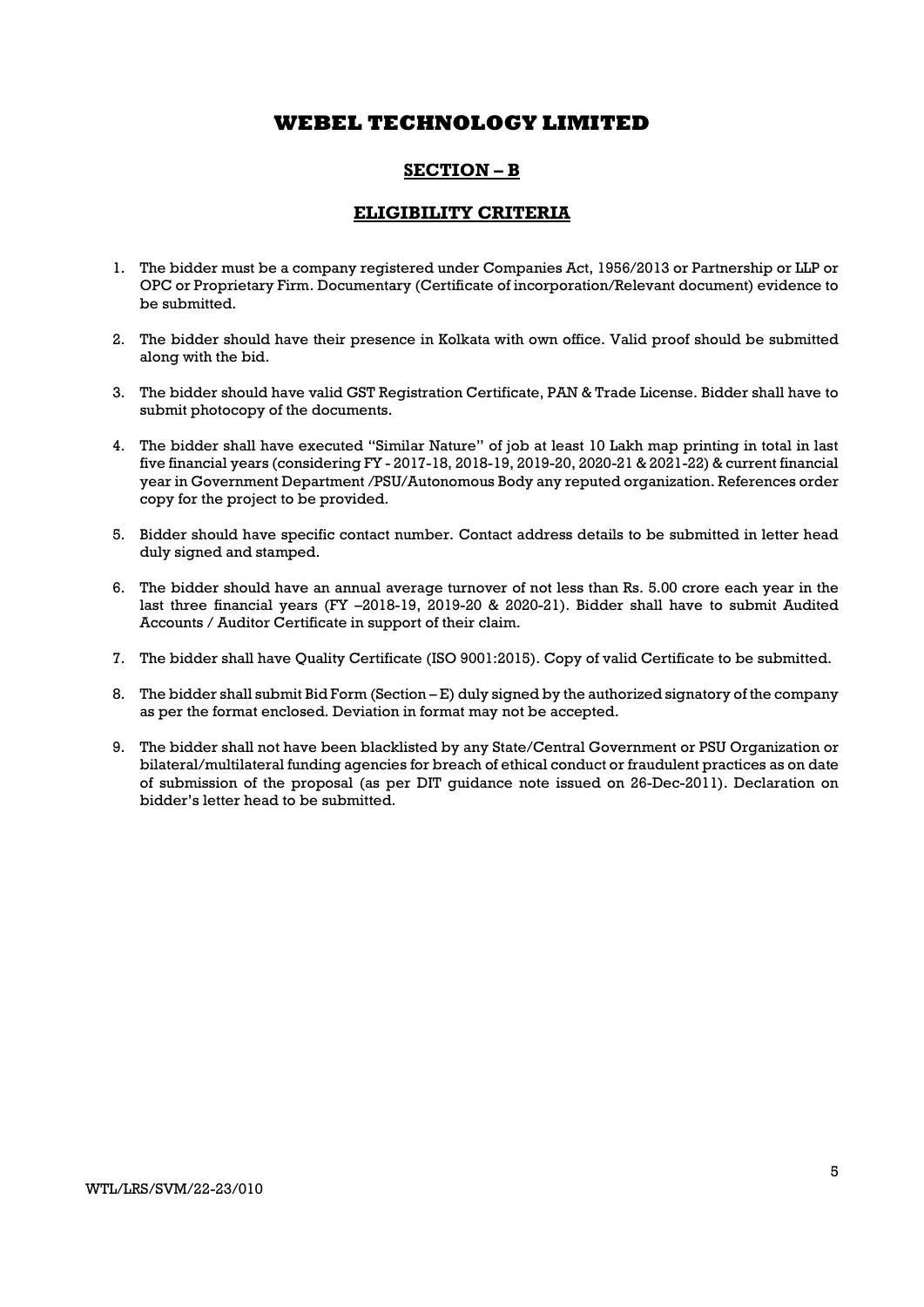# SECTION – B

## ELIGIBILITY CRITERIA

- 1. The bidder must be a company registered under Companies Act, 1956/2013 or Partnership or LLP or OPC or Proprietary Firm. Documentary (Certificate of incorporation/Relevant document) evidence to be submitted.
- 2. The bidder should have their presence in Kolkata with own office. Valid proof should be submitted along with the bid.
- 3. The bidder should have valid GST Registration Certificate, PAN & Trade License. Bidder shall have to submit photocopy of the documents.
- 4. The bidder shall have executed "Similar Nature" of job at least 10 Lakh map printing in total in last five financial years (considering FY - 2017-18, 2018-19, 2019-20, 2020-21 & 2021-22) & current financial year in Government Department /PSU/Autonomous Body any reputed organization. References order copy for the project to be provided.
- 5. Bidder should have specific contact number. Contact address details to be submitted in letter head duly signed and stamped.
- 6. The bidder should have an annual average turnover of not less than Rs. 5.00 crore each year in the last three financial years (FY –2018-19, 2019-20 & 2020-21). Bidder shall have to submit Audited Accounts / Auditor Certificate in support of their claim.
- 7. The bidder shall have Quality Certificate (ISO 9001:2015). Copy of valid Certificate to be submitted.
- 8. The bidder shall submit Bid Form (Section E) duly signed by the authorized signatory of the company as per the format enclosed. Deviation in format may not be accepted.
- 9. The bidder shall not have been blacklisted by any State/Central Government or PSU Organization or bilateral/multilateral funding agencies for breach of ethical conduct or fraudulent practices as on date of submission of the proposal (as per DIT guidance note issued on 26-Dec-2011). Declaration on bidder's letter head to be submitted.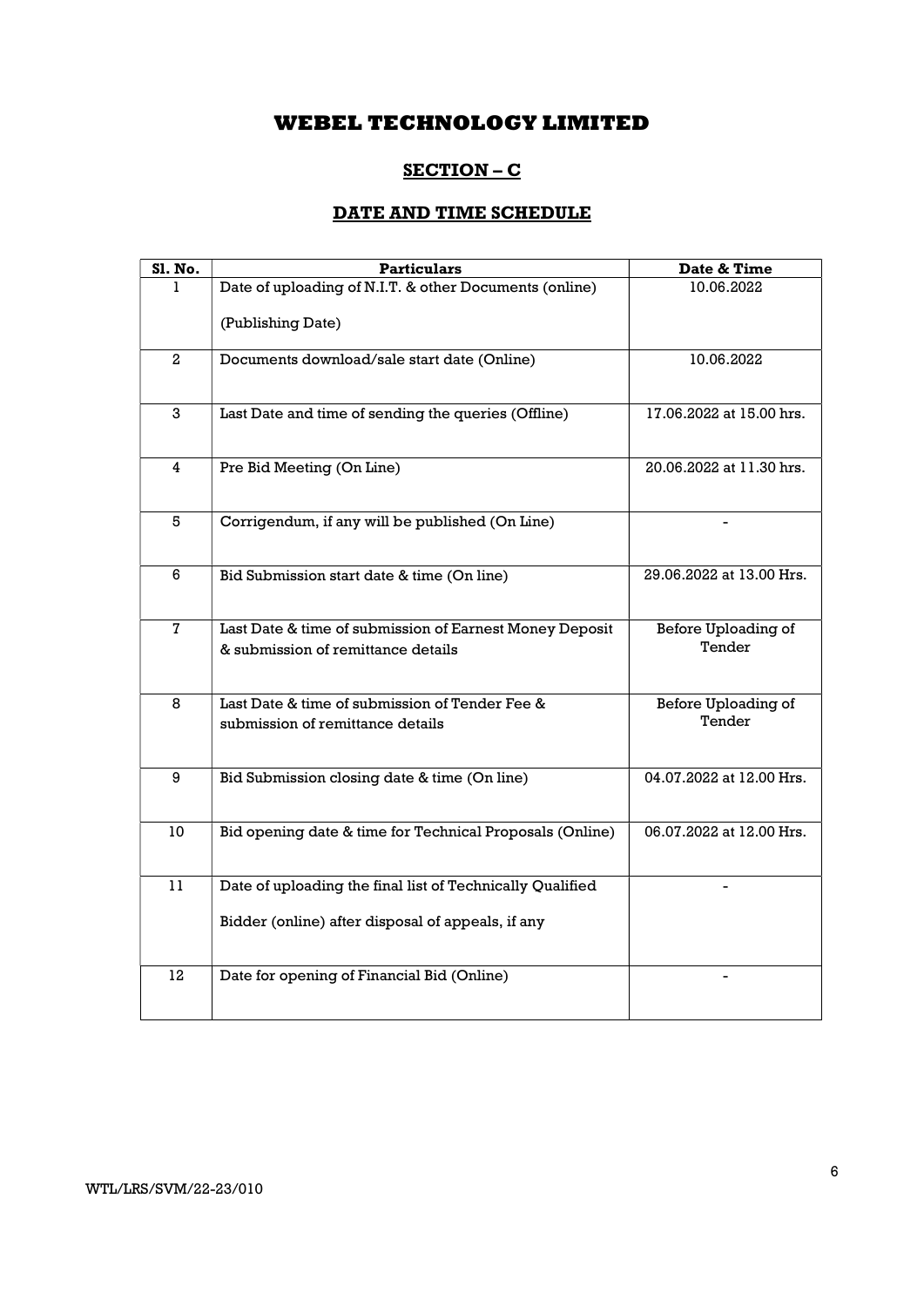# SECTION – C

# DATE AND TIME SCHEDULE

| Sl. No.        | <b>Particulars</b>                                                                 | Date & Time                          |
|----------------|------------------------------------------------------------------------------------|--------------------------------------|
| L              | Date of uploading of N.I.T. & other Documents (online)                             | 10.06.2022                           |
|                | (Publishing Date)                                                                  |                                      |
| 2              | Documents download/sale start date (Online)                                        | 10.06.2022                           |
| 3              | Last Date and time of sending the queries (Offline)                                | 17.06.2022 at 15.00 hrs.             |
| 4              | Pre Bid Meeting (On Line)                                                          | 20.06.2022 at 11.30 hrs.             |
| 5              | Corrigendum, if any will be published (On Line)                                    |                                      |
| 6              | Bid Submission start date & time (On line)                                         | 29.06.2022 at 13.00 Hrs.             |
| $\overline{7}$ | Last Date & time of submission of Earnest Money Deposit                            | Before Uploading of                  |
|                | & submission of remittance details                                                 | Tender                               |
| 8              | Last Date & time of submission of Tender Fee &<br>submission of remittance details | <b>Before Uploading of</b><br>Tender |
| 9              | Bid Submission closing date & time (On line)                                       | 04.07.2022 at 12.00 Hrs.             |
| 10             | Bid opening date & time for Technical Proposals (Online)                           | 06.07.2022 at 12.00 Hrs.             |
| 11             | Date of uploading the final list of Technically Qualified                          |                                      |
|                | Bidder (online) after disposal of appeals, if any                                  |                                      |
| 12             | Date for opening of Financial Bid (Online)                                         |                                      |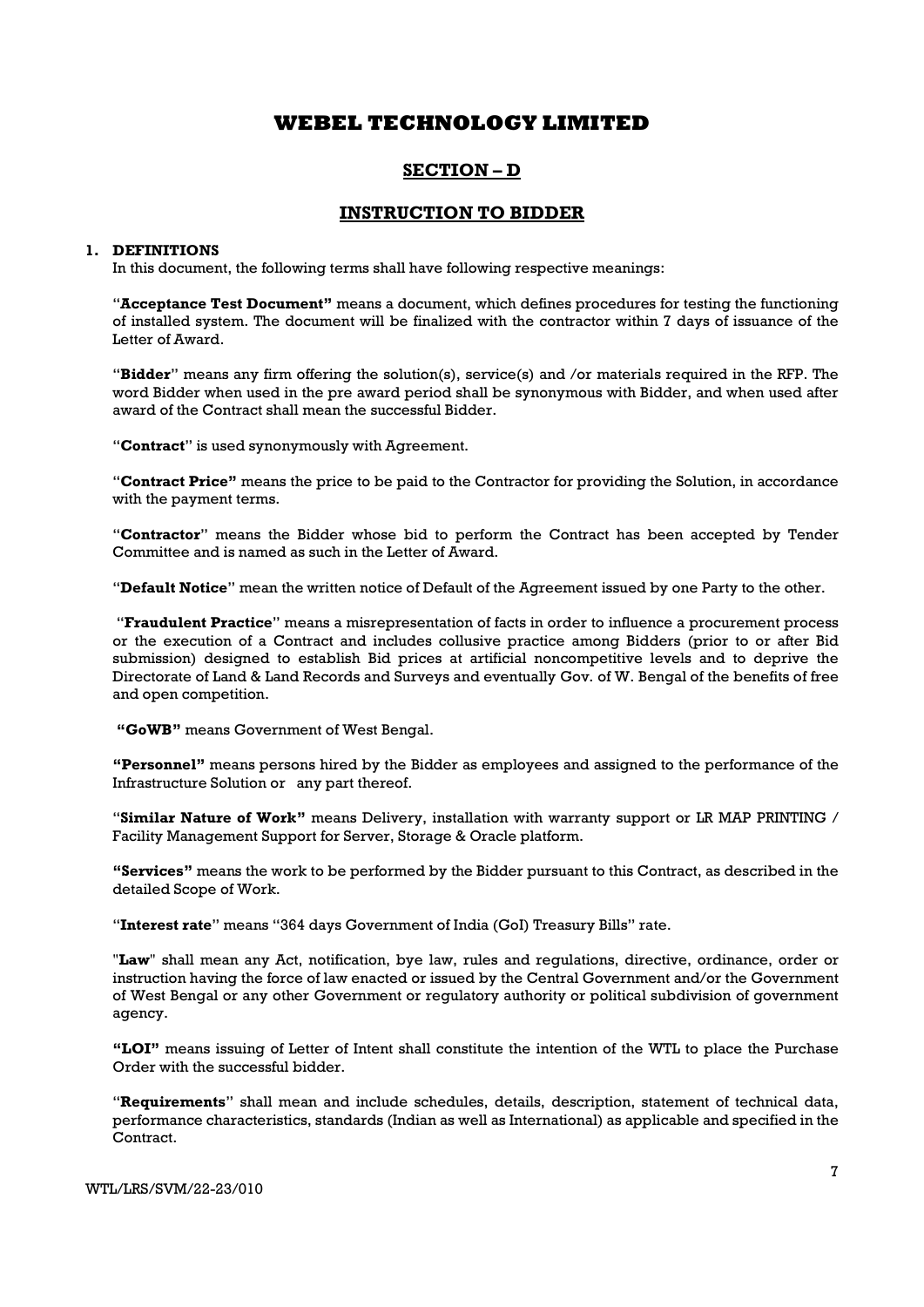# SECTION – D

## INSTRUCTION TO BIDDER

### 1. DEFINITIONS

In this document, the following terms shall have following respective meanings:

"Acceptance Test Document" means a document, which defines procedures for testing the functioning of installed system. The document will be finalized with the contractor within 7 days of issuance of the Letter of Award.

"Bidder" means any firm offering the solution(s), service(s) and /or materials required in the RFP. The word Bidder when used in the pre award period shall be synonymous with Bidder, and when used after award of the Contract shall mean the successful Bidder.

"Contract" is used synonymously with Agreement.

"Contract Price" means the price to be paid to the Contractor for providing the Solution, in accordance with the payment terms.

"Contractor" means the Bidder whose bid to perform the Contract has been accepted by Tender Committee and is named as such in the Letter of Award.

"Default Notice" mean the written notice of Default of the Agreement issued by one Party to the other.

 "Fraudulent Practice" means a misrepresentation of facts in order to influence a procurement process or the execution of a Contract and includes collusive practice among Bidders (prior to or after Bid submission) designed to establish Bid prices at artificial noncompetitive levels and to deprive the Directorate of Land & Land Records and Surveys and eventually Gov. of W. Bengal of the benefits of free and open competition.

"GoWB" means Government of West Bengal.

"Personnel" means persons hired by the Bidder as employees and assigned to the performance of the Infrastructure Solution or any part thereof.

"Similar Nature of Work" means Delivery, installation with warranty support or LR MAP PRINTING / Facility Management Support for Server, Storage & Oracle platform.

"Services" means the work to be performed by the Bidder pursuant to this Contract, as described in the detailed Scope of Work.

"Interest rate" means "364 days Government of India (GoI) Treasury Bills" rate.

"Law" shall mean any Act, notification, bye law, rules and regulations, directive, ordinance, order or instruction having the force of law enacted or issued by the Central Government and/or the Government of West Bengal or any other Government or regulatory authority or political subdivision of government agency.

"LOI" means issuing of Letter of Intent shall constitute the intention of the WTL to place the Purchase Order with the successful bidder.

"Requirements" shall mean and include schedules, details, description, statement of technical data, performance characteristics, standards (Indian as well as International) as applicable and specified in the Contract.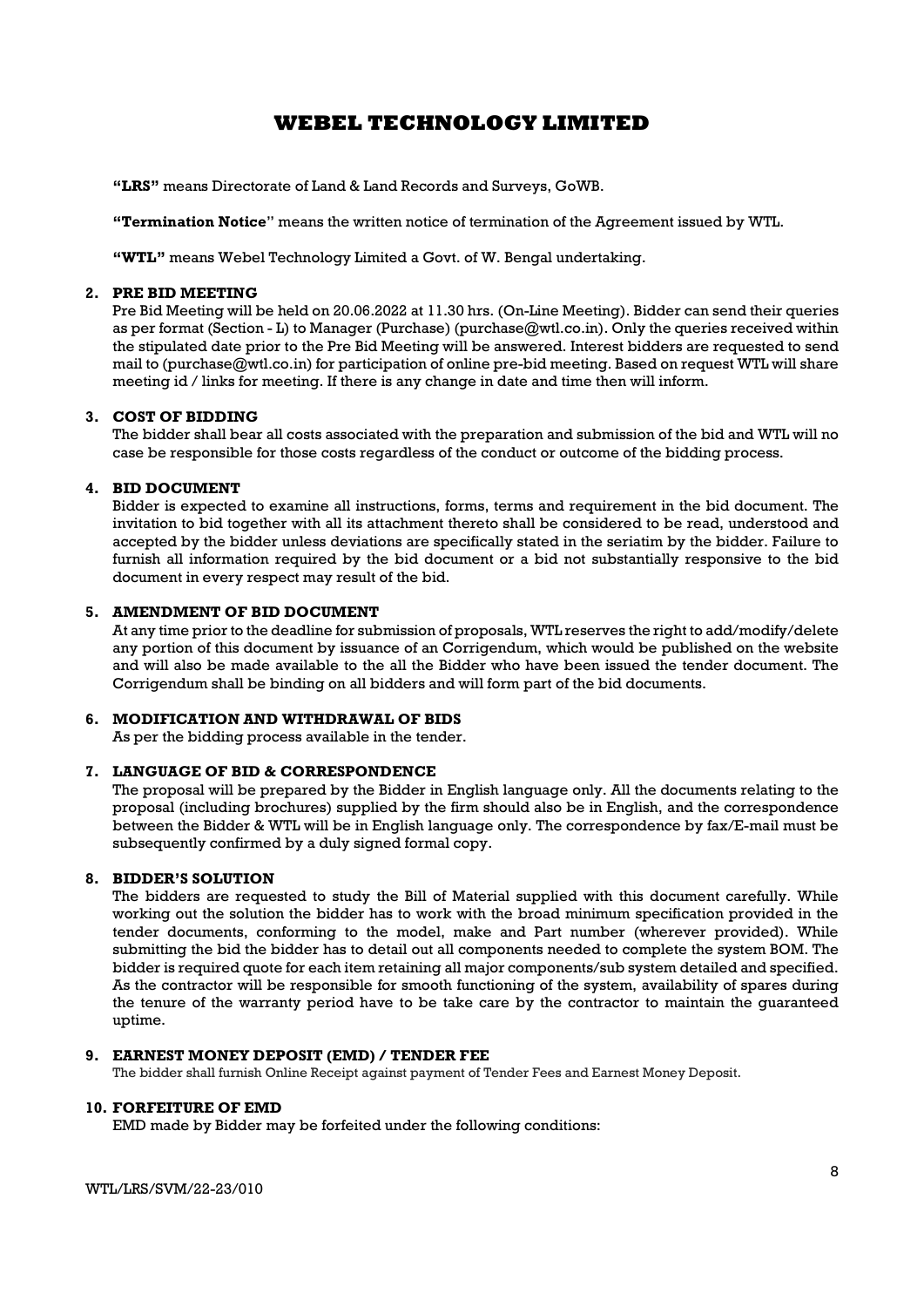"LRS" means Directorate of Land & Land Records and Surveys, GoWB.

"Termination Notice" means the written notice of termination of the Agreement issued by WTL.

"WTL" means Webel Technology Limited a Govt. of W. Bengal undertaking.

### 2. PRE BID MEETING

Pre Bid Meeting will be held on 20.06.2022 at 11.30 hrs. (On-Line Meeting). Bidder can send their queries as per format (Section - L) to Manager (Purchase) (purchase@wtl.co.in). Only the queries received within the stipulated date prior to the Pre Bid Meeting will be answered. Interest bidders are requested to send mail to (purchase@wtl.co.in) for participation of online pre-bid meeting. Based on request WTL will share meeting id / links for meeting. If there is any change in date and time then will inform.

#### 3. COST OF BIDDING

The bidder shall bear all costs associated with the preparation and submission of the bid and WTL will no case be responsible for those costs regardless of the conduct or outcome of the bidding process.

#### 4. BID DOCUMENT

Bidder is expected to examine all instructions, forms, terms and requirement in the bid document. The invitation to bid together with all its attachment thereto shall be considered to be read, understood and accepted by the bidder unless deviations are specifically stated in the seriatim by the bidder. Failure to furnish all information required by the bid document or a bid not substantially responsive to the bid document in every respect may result of the bid.

#### 5. AMENDMENT OF BID DOCUMENT

At any time prior to the deadline for submission of proposals, WTL reserves the right to add/modify/delete any portion of this document by issuance of an Corrigendum, which would be published on the website and will also be made available to the all the Bidder who have been issued the tender document. The Corrigendum shall be binding on all bidders and will form part of the bid documents.

### 6. MODIFICATION AND WITHDRAWAL OF BIDS

As per the bidding process available in the tender.

### 7. LANGUAGE OF BID & CORRESPONDENCE

The proposal will be prepared by the Bidder in English language only. All the documents relating to the proposal (including brochures) supplied by the firm should also be in English, and the correspondence between the Bidder & WTL will be in English language only. The correspondence by fax/E-mail must be subsequently confirmed by a duly signed formal copy.

## 8. BIDDER'S SOLUTION

The bidders are requested to study the Bill of Material supplied with this document carefully. While working out the solution the bidder has to work with the broad minimum specification provided in the tender documents, conforming to the model, make and Part number (wherever provided). While submitting the bid the bidder has to detail out all components needed to complete the system BOM. The bidder is required quote for each item retaining all major components/sub system detailed and specified. As the contractor will be responsible for smooth functioning of the system, availability of spares during the tenure of the warranty period have to be take care by the contractor to maintain the guaranteed uptime.

### 9. EARNEST MONEY DEPOSIT (EMD) / TENDER FEE

The bidder shall furnish Online Receipt against payment of Tender Fees and Earnest Money Deposit.

#### 10. FORFEITURE OF EMD

EMD made by Bidder may be forfeited under the following conditions: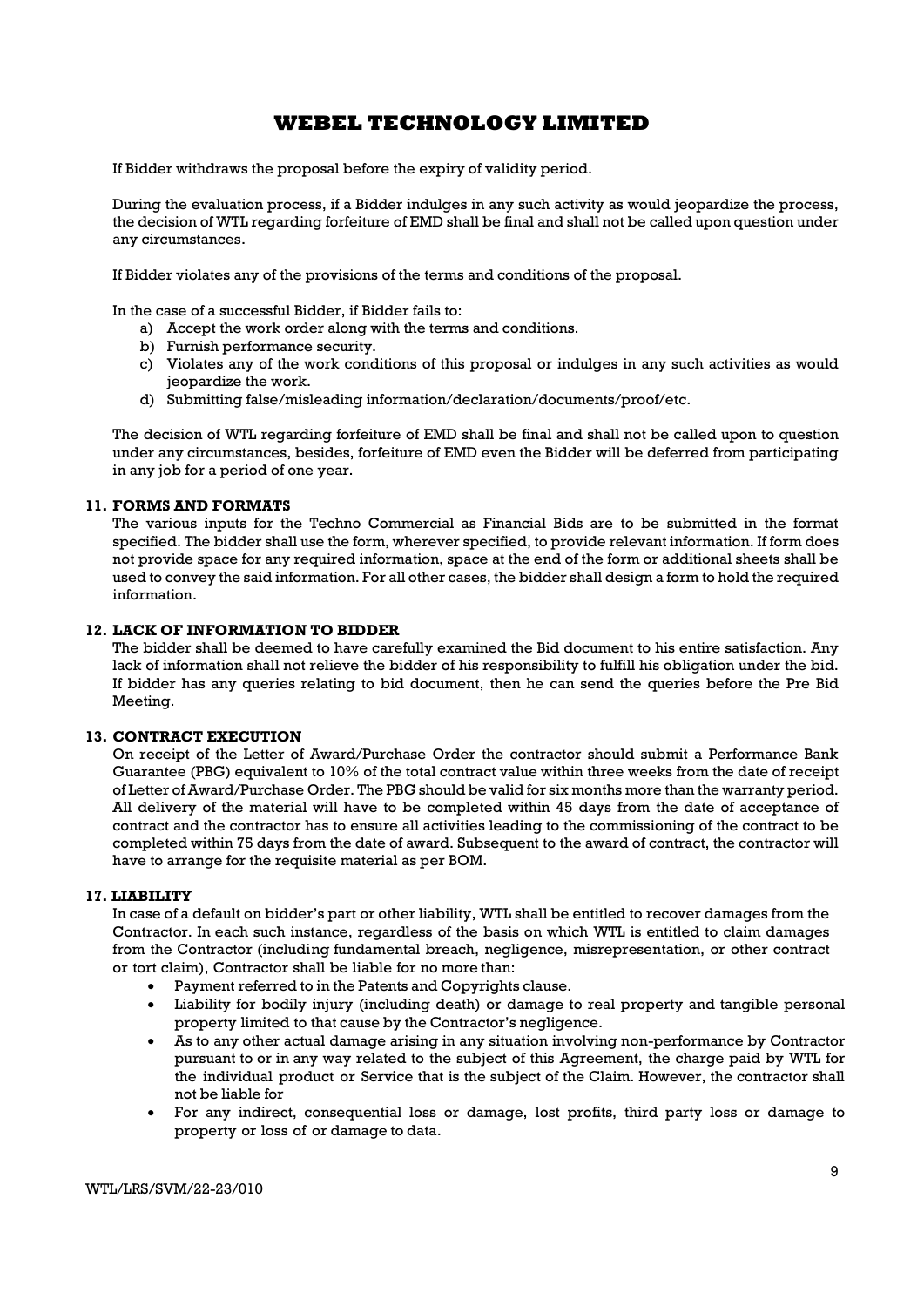If Bidder withdraws the proposal before the expiry of validity period.

During the evaluation process, if a Bidder indulges in any such activity as would jeopardize the process, the decision of WTL regarding forfeiture of EMD shall be final and shall not be called upon question under any circumstances.

If Bidder violates any of the provisions of the terms and conditions of the proposal.

In the case of a successful Bidder, if Bidder fails to:

- a) Accept the work order along with the terms and conditions.
- b) Furnish performance security.
- c) Violates any of the work conditions of this proposal or indulges in any such activities as would jeopardize the work.
- d) Submitting false/misleading information/declaration/documents/proof/etc.

The decision of WTL regarding forfeiture of EMD shall be final and shall not be called upon to question under any circumstances, besides, forfeiture of EMD even the Bidder will be deferred from participating in any job for a period of one year.

### 11. FORMS AND FORMATS

The various inputs for the Techno Commercial as Financial Bids are to be submitted in the format specified. The bidder shall use the form, wherever specified, to provide relevant information. If form does not provide space for any required information, space at the end of the form or additional sheets shall be used to convey the said information. For all other cases, the bidder shall design a form to hold the required information.

### 12. LACK OF INFORMATION TO BIDDER

The bidder shall be deemed to have carefully examined the Bid document to his entire satisfaction. Any lack of information shall not relieve the bidder of his responsibility to fulfill his obligation under the bid. If bidder has any queries relating to bid document, then he can send the queries before the Pre Bid Meeting.

### 13. CONTRACT EXECUTION

On receipt of the Letter of Award/Purchase Order the contractor should submit a Performance Bank Guarantee (PBG) equivalent to 10% of the total contract value within three weeks from the date of receipt of Letter of Award/Purchase Order. The PBG should be valid for six months more than the warranty period. All delivery of the material will have to be completed within 45 days from the date of acceptance of contract and the contractor has to ensure all activities leading to the commissioning of the contract to be completed within 75 days from the date of award. Subsequent to the award of contract, the contractor will have to arrange for the requisite material as per BOM.

### 17. LIABILITY

In case of a default on bidder's part or other liability, WTL shall be entitled to recover damages from the Contractor. In each such instance, regardless of the basis on which WTL is entitled to claim damages from the Contractor (including fundamental breach, negligence, misrepresentation, or other contract or tort claim), Contractor shall be liable for no more than:

- Payment referred to in the Patents and Copyrights clause.
- Liability for bodily injury (including death) or damage to real property and tangible personal property limited to that cause by the Contractor's negligence.
- As to any other actual damage arising in any situation involving non-performance by Contractor pursuant to or in any way related to the subject of this Agreement, the charge paid by WTL for the individual product or Service that is the subject of the Claim. However, the contractor shall not be liable for
- For any indirect, consequential loss or damage, lost profits, third party loss or damage to property or loss of or damage to data.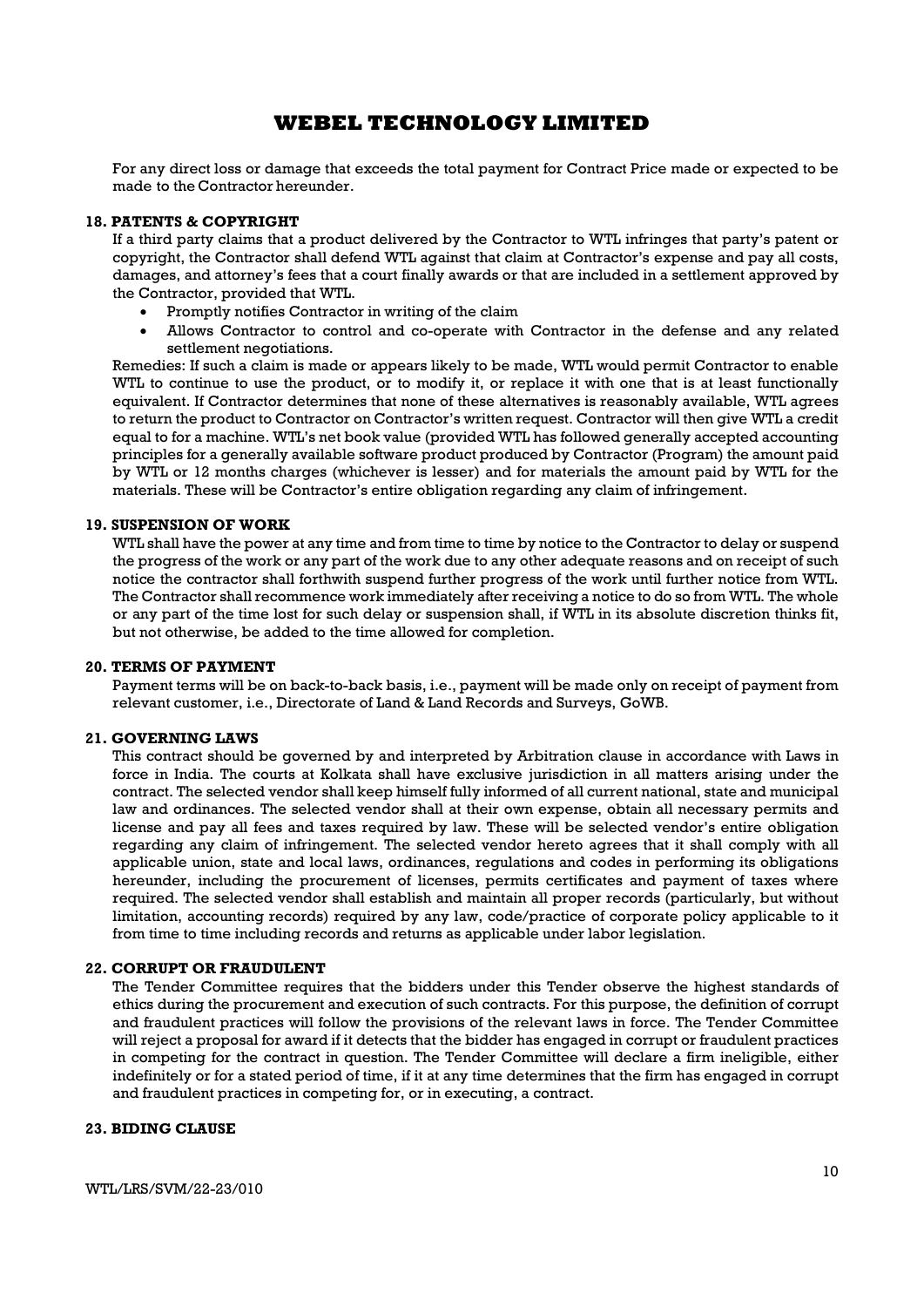For any direct loss or damage that exceeds the total payment for Contract Price made or expected to be made to the Contractor hereunder.

#### 18. PATENTS & COPYRIGHT

If a third party claims that a product delivered by the Contractor to WTL infringes that party's patent or copyright, the Contractor shall defend WTL against that claim at Contractor's expense and pay all costs, damages, and attorney's fees that a court finally awards or that are included in a settlement approved by the Contractor, provided that WTL.

- Promptly notifies Contractor in writing of the claim
- Allows Contractor to control and co-operate with Contractor in the defense and any related settlement negotiations.

Remedies: If such a claim is made or appears likely to be made, WTL would permit Contractor to enable WTL to continue to use the product, or to modify it, or replace it with one that is at least functionally equivalent. If Contractor determines that none of these alternatives is reasonably available, WTL agrees to return the product to Contractor on Contractor's written request. Contractor will then give WTL a credit equal to for a machine. WTL's net book value (provided WTL has followed generally accepted accounting principles for a generally available software product produced by Contractor (Program) the amount paid by WTL or 12 months charges (whichever is lesser) and for materials the amount paid by WTL for the materials. These will be Contractor's entire obligation regarding any claim of infringement.

### 19. SUSPENSION OF WORK

WTL shall have the power at any time and from time to time by notice to the Contractor to delay or suspend the progress of the work or any part of the work due to any other adequate reasons and on receipt of such notice the contractor shall forthwith suspend further progress of the work until further notice from WTL. The Contractor shall recommence work immediately after receiving a notice to do so from WTL. The whole or any part of the time lost for such delay or suspension shall, if WTL in its absolute discretion thinks fit, but not otherwise, be added to the time allowed for completion.

#### 20. TERMS OF PAYMENT

Payment terms will be on back-to-back basis, i.e., payment will be made only on receipt of payment from relevant customer, i.e., Directorate of Land & Land Records and Surveys, GoWB.

## 21. GOVERNING LAWS

This contract should be governed by and interpreted by Arbitration clause in accordance with Laws in force in India. The courts at Kolkata shall have exclusive jurisdiction in all matters arising under the contract. The selected vendor shall keep himself fully informed of all current national, state and municipal law and ordinances. The selected vendor shall at their own expense, obtain all necessary permits and license and pay all fees and taxes required by law. These will be selected vendor's entire obligation regarding any claim of infringement. The selected vendor hereto agrees that it shall comply with all applicable union, state and local laws, ordinances, regulations and codes in performing its obligations hereunder, including the procurement of licenses, permits certificates and payment of taxes where required. The selected vendor shall establish and maintain all proper records (particularly, but without limitation, accounting records) required by any law, code/practice of corporate policy applicable to it from time to time including records and returns as applicable under labor legislation.

### 22. CORRUPT OR FRAUDULENT

The Tender Committee requires that the bidders under this Tender observe the highest standards of ethics during the procurement and execution of such contracts. For this purpose, the definition of corrupt and fraudulent practices will follow the provisions of the relevant laws in force. The Tender Committee will reject a proposal for award if it detects that the bidder has engaged in corrupt or fraudulent practices in competing for the contract in question. The Tender Committee will declare a firm ineligible, either indefinitely or for a stated period of time, if it at any time determines that the firm has engaged in corrupt and fraudulent practices in competing for, or in executing, a contract.

### 23. BIDING CLAUSE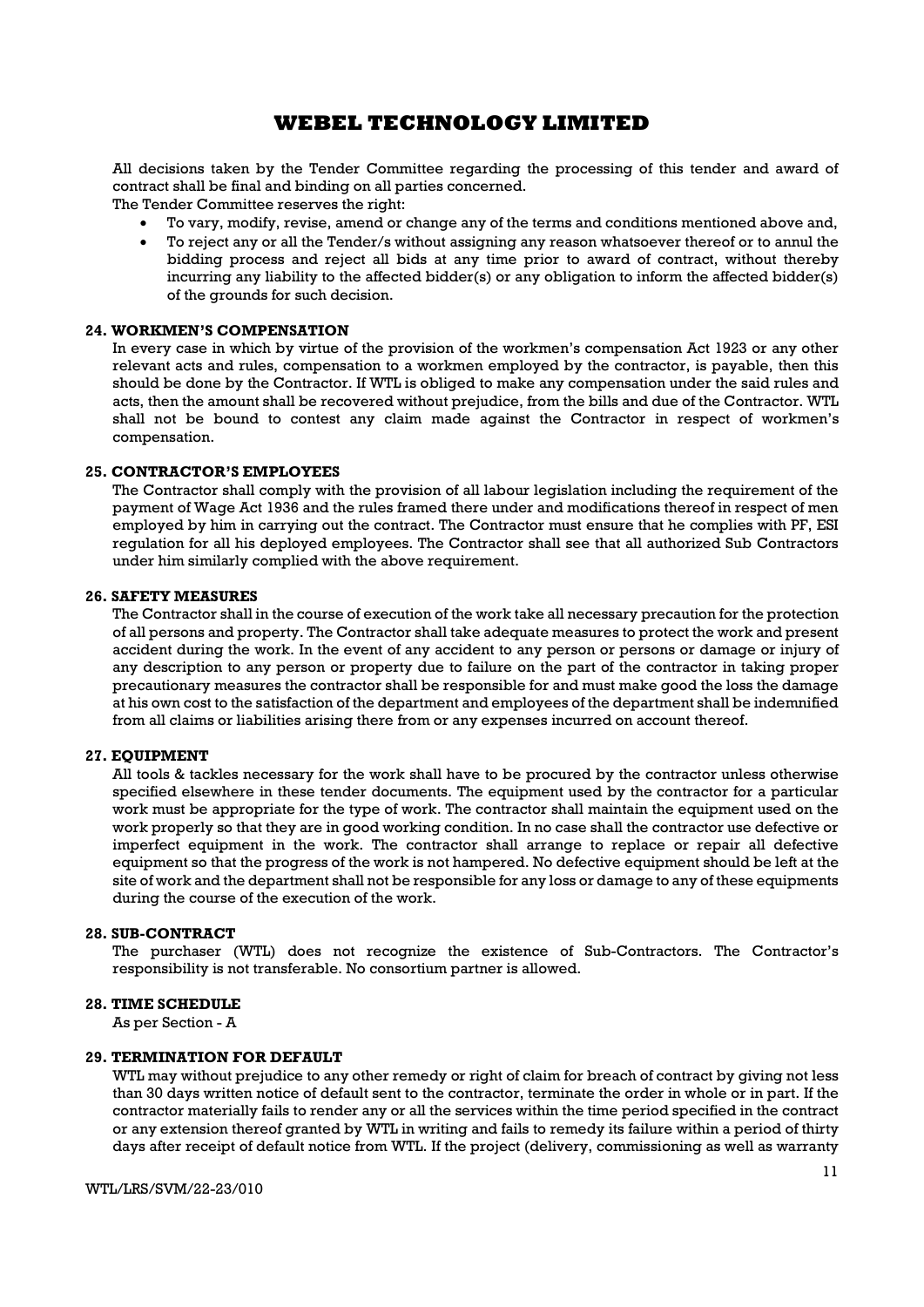All decisions taken by the Tender Committee regarding the processing of this tender and award of contract shall be final and binding on all parties concerned.

The Tender Committee reserves the right:

- To vary, modify, revise, amend or change any of the terms and conditions mentioned above and,
- To reject any or all the Tender/s without assigning any reason whatsoever thereof or to annul the bidding process and reject all bids at any time prior to award of contract, without thereby incurring any liability to the affected bidder(s) or any obligation to inform the affected bidder(s) of the grounds for such decision.

#### 24. WORKMEN'S COMPENSATION

In every case in which by virtue of the provision of the workmen's compensation Act 1923 or any other relevant acts and rules, compensation to a workmen employed by the contractor, is payable, then this should be done by the Contractor. If WTL is obliged to make any compensation under the said rules and acts, then the amount shall be recovered without prejudice, from the bills and due of the Contractor. WTL shall not be bound to contest any claim made against the Contractor in respect of workmen's compensation.

#### 25. CONTRACTOR'S EMPLOYEES

The Contractor shall comply with the provision of all labour legislation including the requirement of the payment of Wage Act 1936 and the rules framed there under and modifications thereof in respect of men employed by him in carrying out the contract. The Contractor must ensure that he complies with PF, ESI regulation for all his deployed employees. The Contractor shall see that all authorized Sub Contractors under him similarly complied with the above requirement.

#### 26. SAFETY MEASURES

The Contractor shall in the course of execution of the work take all necessary precaution for the protection of all persons and property. The Contractor shall take adequate measures to protect the work and present accident during the work. In the event of any accident to any person or persons or damage or injury of any description to any person or property due to failure on the part of the contractor in taking proper precautionary measures the contractor shall be responsible for and must make good the loss the damage at his own cost to the satisfaction of the department and employees of the department shall be indemnified from all claims or liabilities arising there from or any expenses incurred on account thereof.

#### 27. EQUIPMENT

All tools & tackles necessary for the work shall have to be procured by the contractor unless otherwise specified elsewhere in these tender documents. The equipment used by the contractor for a particular work must be appropriate for the type of work. The contractor shall maintain the equipment used on the work properly so that they are in good working condition. In no case shall the contractor use defective or imperfect equipment in the work. The contractor shall arrange to replace or repair all defective equipment so that the progress of the work is not hampered. No defective equipment should be left at the site of work and the department shall not be responsible for any loss or damage to any of these equipments during the course of the execution of the work.

#### 28. SUB-CONTRACT

The purchaser (WTL) does not recognize the existence of Sub-Contractors. The Contractor's responsibility is not transferable. No consortium partner is allowed.

### 28. TIME SCHEDULE

As per Section - A

#### 29. TERMINATION FOR DEFAULT

WTL may without prejudice to any other remedy or right of claim for breach of contract by giving not less than 30 days written notice of default sent to the contractor, terminate the order in whole or in part. If the contractor materially fails to render any or all the services within the time period specified in the contract or any extension thereof granted by WTL in writing and fails to remedy its failure within a period of thirty days after receipt of default notice from WTL. If the project (delivery, commissioning as well as warranty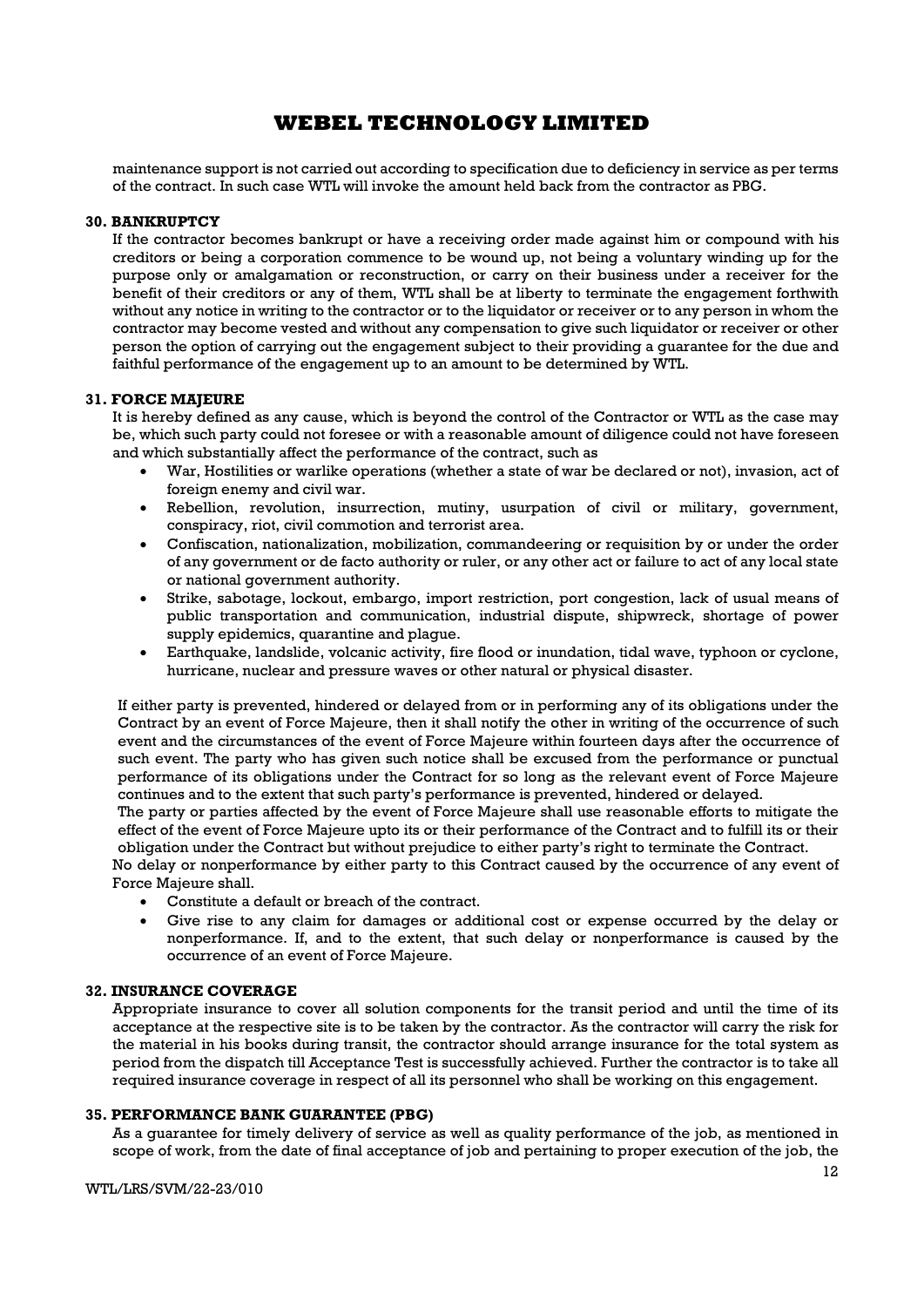maintenance support is not carried out according to specification due to deficiency in service as per terms of the contract. In such case WTL will invoke the amount held back from the contractor as PBG.

### 30. BANKRUPTCY

If the contractor becomes bankrupt or have a receiving order made against him or compound with his creditors or being a corporation commence to be wound up, not being a voluntary winding up for the purpose only or amalgamation or reconstruction, or carry on their business under a receiver for the benefit of their creditors or any of them, WTL shall be at liberty to terminate the engagement forthwith without any notice in writing to the contractor or to the liquidator or receiver or to any person in whom the contractor may become vested and without any compensation to give such liquidator or receiver or other person the option of carrying out the engagement subject to their providing a guarantee for the due and faithful performance of the engagement up to an amount to be determined by WTL.

### 31. FORCE MAJEURE

It is hereby defined as any cause, which is beyond the control of the Contractor or WTL as the case may be, which such party could not foresee or with a reasonable amount of diligence could not have foreseen and which substantially affect the performance of the contract, such as

- War, Hostilities or warlike operations (whether a state of war be declared or not), invasion, act of foreign enemy and civil war.
- Rebellion, revolution, insurrection, mutiny, usurpation of civil or military, government, conspiracy, riot, civil commotion and terrorist area.
- Confiscation, nationalization, mobilization, commandeering or requisition by or under the order of any government or de facto authority or ruler, or any other act or failure to act of any local state or national government authority.
- Strike, sabotage, lockout, embargo, import restriction, port congestion, lack of usual means of public transportation and communication, industrial dispute, shipwreck, shortage of power supply epidemics, quarantine and plague.
- Earthquake, landslide, volcanic activity, fire flood or inundation, tidal wave, typhoon or cyclone, hurricane, nuclear and pressure waves or other natural or physical disaster.

If either party is prevented, hindered or delayed from or in performing any of its obligations under the Contract by an event of Force Majeure, then it shall notify the other in writing of the occurrence of such event and the circumstances of the event of Force Majeure within fourteen days after the occurrence of such event. The party who has given such notice shall be excused from the performance or punctual performance of its obligations under the Contract for so long as the relevant event of Force Majeure continues and to the extent that such party's performance is prevented, hindered or delayed.

The party or parties affected by the event of Force Majeure shall use reasonable efforts to mitigate the effect of the event of Force Majeure upto its or their performance of the Contract and to fulfill its or their obligation under the Contract but without prejudice to either party's right to terminate the Contract.

No delay or nonperformance by either party to this Contract caused by the occurrence of any event of Force Majeure shall.

- Constitute a default or breach of the contract.
- Give rise to any claim for damages or additional cost or expense occurred by the delay or nonperformance. If, and to the extent, that such delay or nonperformance is caused by the occurrence of an event of Force Majeure.

### 32. INSURANCE COVERAGE

Appropriate insurance to cover all solution components for the transit period and until the time of its acceptance at the respective site is to be taken by the contractor. As the contractor will carry the risk for the material in his books during transit, the contractor should arrange insurance for the total system as period from the dispatch till Acceptance Test is successfully achieved. Further the contractor is to take all required insurance coverage in respect of all its personnel who shall be working on this engagement.

### 35. PERFORMANCE BANK GUARANTEE (PBG)

As a guarantee for timely delivery of service as well as quality performance of the job, as mentioned in scope of work, from the date of final acceptance of job and pertaining to proper execution of the job, the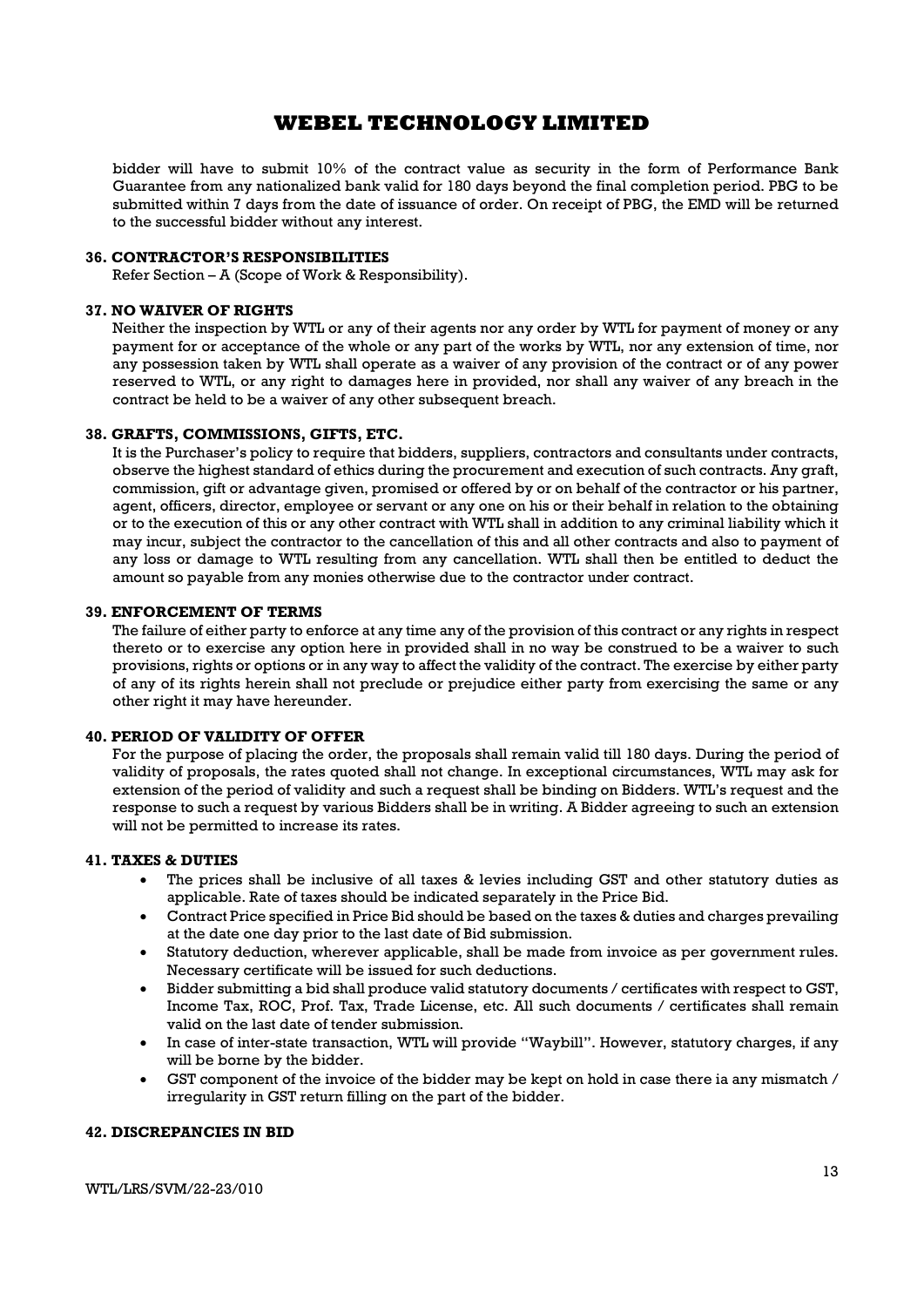bidder will have to submit 10% of the contract value as security in the form of Performance Bank Guarantee from any nationalized bank valid for 180 days beyond the final completion period. PBG to be submitted within 7 days from the date of issuance of order. On receipt of PBG, the EMD will be returned to the successful bidder without any interest.

#### 36. CONTRACTOR'S RESPONSIBILITIES

Refer Section – A (Scope of Work & Responsibility).

#### 37. NO WAIVER OF RIGHTS

Neither the inspection by WTL or any of their agents nor any order by WTL for payment of money or any payment for or acceptance of the whole or any part of the works by WTL, nor any extension of time, nor any possession taken by WTL shall operate as a waiver of any provision of the contract or of any power reserved to WTL, or any right to damages here in provided, nor shall any waiver of any breach in the contract be held to be a waiver of any other subsequent breach.

#### 38. GRAFTS, COMMISSIONS, GIFTS, ETC.

It is the Purchaser's policy to require that bidders, suppliers, contractors and consultants under contracts, observe the highest standard of ethics during the procurement and execution of such contracts. Any graft, commission, gift or advantage given, promised or offered by or on behalf of the contractor or his partner, agent, officers, director, employee or servant or any one on his or their behalf in relation to the obtaining or to the execution of this or any other contract with WTL shall in addition to any criminal liability which it may incur, subject the contractor to the cancellation of this and all other contracts and also to payment of any loss or damage to WTL resulting from any cancellation. WTL shall then be entitled to deduct the amount so payable from any monies otherwise due to the contractor under contract.

#### 39. ENFORCEMENT OF TERMS

The failure of either party to enforce at any time any of the provision of this contract or any rights in respect thereto or to exercise any option here in provided shall in no way be construed to be a waiver to such provisions, rights or options or in any way to affect the validity of the contract. The exercise by either party of any of its rights herein shall not preclude or prejudice either party from exercising the same or any other right it may have hereunder.

### 40. PERIOD OF VALIDITY OF OFFER

For the purpose of placing the order, the proposals shall remain valid till 180 days. During the period of validity of proposals, the rates quoted shall not change. In exceptional circumstances, WTL may ask for extension of the period of validity and such a request shall be binding on Bidders. WTL's request and the response to such a request by various Bidders shall be in writing. A Bidder agreeing to such an extension will not be permitted to increase its rates.

## 41. TAXES & DUTIES

- The prices shall be inclusive of all taxes & levies including GST and other statutory duties as applicable. Rate of taxes should be indicated separately in the Price Bid.
- Contract Price specified in Price Bid should be based on the taxes & duties and charges prevailing at the date one day prior to the last date of Bid submission.
- Statutory deduction, wherever applicable, shall be made from invoice as per government rules. Necessary certificate will be issued for such deductions.
- Bidder submitting a bid shall produce valid statutory documents / certificates with respect to GST, Income Tax, ROC, Prof. Tax, Trade License, etc. All such documents / certificates shall remain valid on the last date of tender submission.
- In case of inter-state transaction, WTL will provide "Waybill". However, statutory charges, if any will be borne by the bidder.
- GST component of the invoice of the bidder may be kept on hold in case there ia any mismatch / irregularity in GST return filling on the part of the bidder.

#### 42. DISCREPANCIES IN BID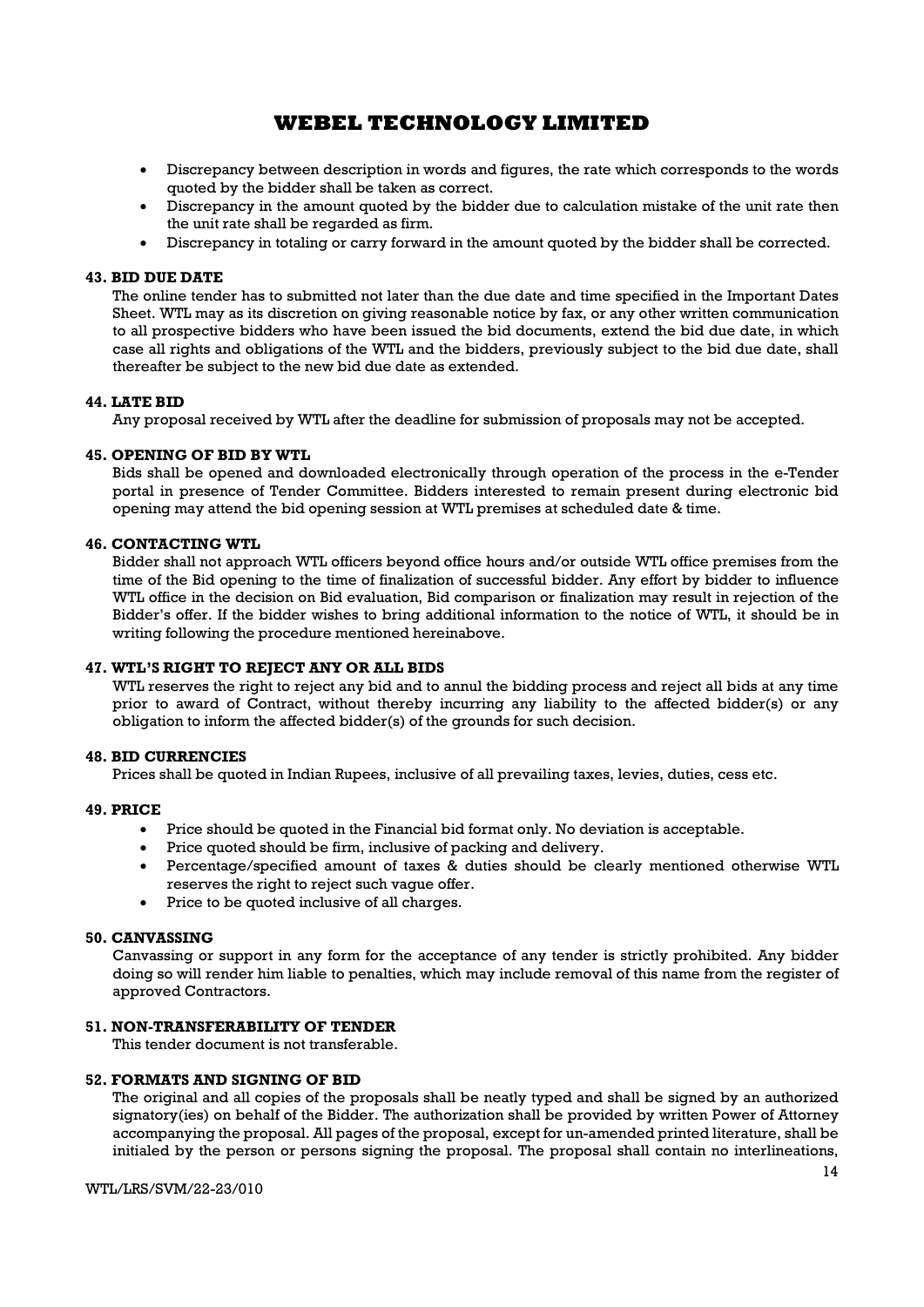- Discrepancy between description in words and figures, the rate which corresponds to the words quoted by the bidder shall be taken as correct.
- Discrepancy in the amount quoted by the bidder due to calculation mistake of the unit rate then the unit rate shall be regarded as firm.
- Discrepancy in totaling or carry forward in the amount quoted by the bidder shall be corrected.

### 43. BID DUE DATE

The online tender has to submitted not later than the due date and time specified in the Important Dates Sheet. WTL may as its discretion on giving reasonable notice by fax, or any other written communication to all prospective bidders who have been issued the bid documents, extend the bid due date, in which case all rights and obligations of the WTL and the bidders, previously subject to the bid due date, shall thereafter be subject to the new bid due date as extended.

#### 44. LATE BID

Any proposal received by WTL after the deadline for submission of proposals may not be accepted.

#### 45. OPENING OF BID BY WTL

Bids shall be opened and downloaded electronically through operation of the process in the e-Tender portal in presence of Tender Committee. Bidders interested to remain present during electronic bid opening may attend the bid opening session at WTL premises at scheduled date & time.

#### 46. CONTACTING WTL

Bidder shall not approach WTL officers beyond office hours and/or outside WTL office premises from the time of the Bid opening to the time of finalization of successful bidder. Any effort by bidder to influence WTL office in the decision on Bid evaluation, Bid comparison or finalization may result in rejection of the Bidder's offer. If the bidder wishes to bring additional information to the notice of WTL, it should be in writing following the procedure mentioned hereinabove.

### 47. WTL'S RIGHT TO REJECT ANY OR ALL BIDS

WTL reserves the right to reject any bid and to annul the bidding process and reject all bids at any time prior to award of Contract, without thereby incurring any liability to the affected bidder(s) or any obligation to inform the affected bidder(s) of the grounds for such decision.

#### 48. BID CURRENCIES

Prices shall be quoted in Indian Rupees, inclusive of all prevailing taxes, levies, duties, cess etc.

#### 49. PRICE

- Price should be quoted in the Financial bid format only. No deviation is acceptable.
- Price quoted should be firm, inclusive of packing and delivery.
- Percentage/specified amount of taxes & duties should be clearly mentioned otherwise WTL reserves the right to reject such vague offer.
- Price to be quoted inclusive of all charges.

#### 50. CANVASSING

Canvassing or support in any form for the acceptance of any tender is strictly prohibited. Any bidder doing so will render him liable to penalties, which may include removal of this name from the register of approved Contractors.

## 51. NON-TRANSFERABILITY OF TENDER

This tender document is not transferable.

#### 52. FORMATS AND SIGNING OF BID

The original and all copies of the proposals shall be neatly typed and shall be signed by an authorized signatory(ies) on behalf of the Bidder. The authorization shall be provided by written Power of Attorney accompanying the proposal. All pages of the proposal, except for un-amended printed literature, shall be initialed by the person or persons signing the proposal. The proposal shall contain no interlineations,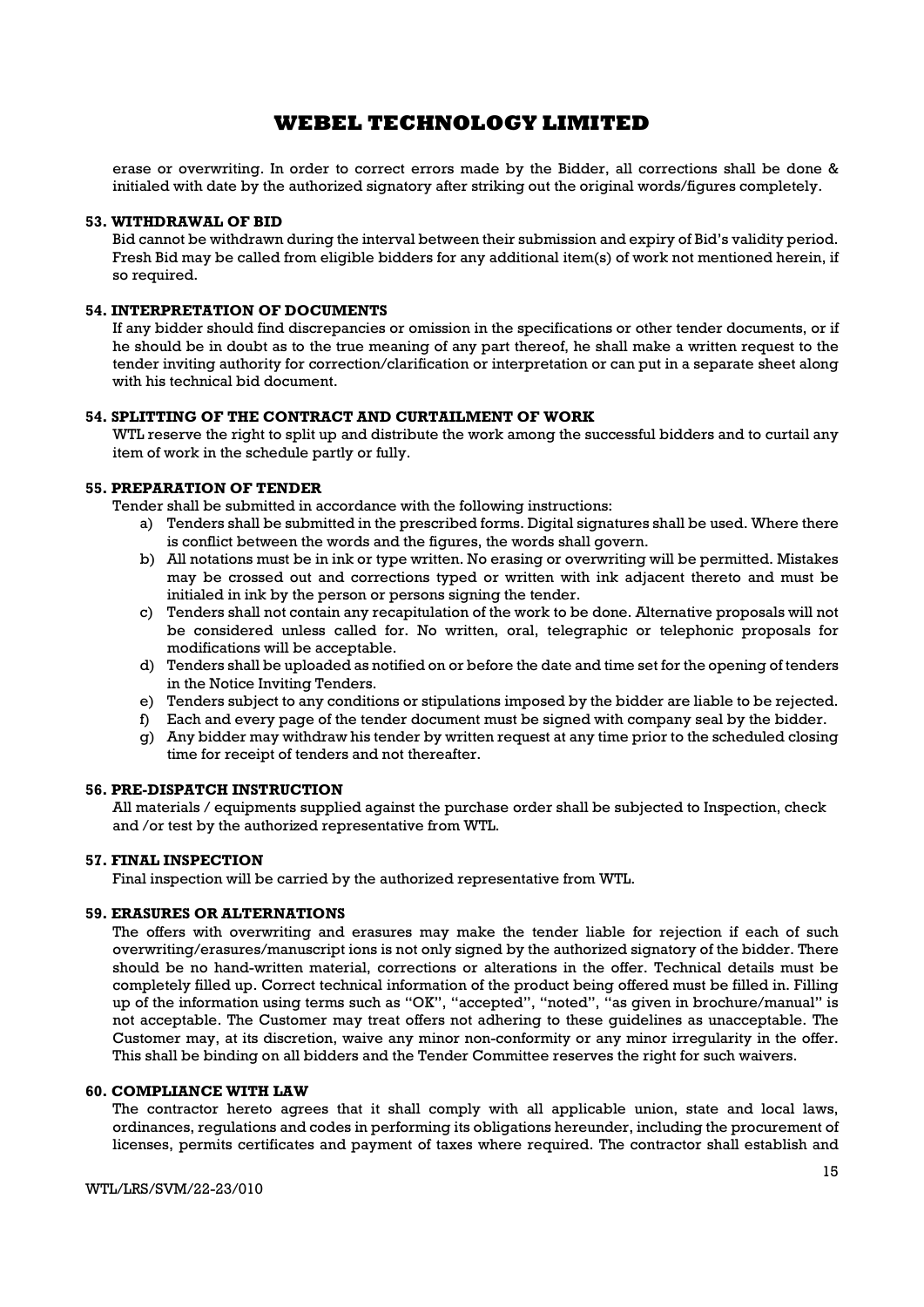erase or overwriting. In order to correct errors made by the Bidder, all corrections shall be done & initialed with date by the authorized signatory after striking out the original words/figures completely.

#### 53. WITHDRAWAL OF BID

Bid cannot be withdrawn during the interval between their submission and expiry of Bid's validity period. Fresh Bid may be called from eligible bidders for any additional item(s) of work not mentioned herein, if so required.

## 54. INTERPRETATION OF DOCUMENTS

If any bidder should find discrepancies or omission in the specifications or other tender documents, or if he should be in doubt as to the true meaning of any part thereof, he shall make a written request to the tender inviting authority for correction/clarification or interpretation or can put in a separate sheet along with his technical bid document.

### 54. SPLITTING OF THE CONTRACT AND CURTAILMENT OF WORK

WTL reserve the right to split up and distribute the work among the successful bidders and to curtail any item of work in the schedule partly or fully.

### 55. PREPARATION OF TENDER

Tender shall be submitted in accordance with the following instructions:

- a) Tenders shall be submitted in the prescribed forms. Digital signatures shall be used. Where there is conflict between the words and the figures, the words shall govern.
- b) All notations must be in ink or type written. No erasing or overwriting will be permitted. Mistakes may be crossed out and corrections typed or written with ink adjacent thereto and must be initialed in ink by the person or persons signing the tender.
- c) Tenders shall not contain any recapitulation of the work to be done. Alternative proposals will not be considered unless called for. No written, oral, telegraphic or telephonic proposals for modifications will be acceptable.
- d) Tenders shall be uploaded as notified on or before the date and time set for the opening of tenders in the Notice Inviting Tenders.
- e) Tenders subject to any conditions or stipulations imposed by the bidder are liable to be rejected.
- f) Each and every page of the tender document must be signed with company seal by the bidder.
- g) Any bidder may withdraw his tender by written request at any time prior to the scheduled closing time for receipt of tenders and not thereafter.

### 56. PRE-DISPATCH INSTRUCTION

All materials / equipments supplied against the purchase order shall be subjected to Inspection, check and /or test by the authorized representative from WTL.

#### 57. FINAL INSPECTION

Final inspection will be carried by the authorized representative from WTL.

### 59. ERASURES OR ALTERNATIONS

The offers with overwriting and erasures may make the tender liable for rejection if each of such overwriting/erasures/manuscript ions is not only signed by the authorized signatory of the bidder. There should be no hand-written material, corrections or alterations in the offer. Technical details must be completely filled up. Correct technical information of the product being offered must be filled in. Filling up of the information using terms such as "OK", "accepted", "noted", "as given in brochure/manual" is not acceptable. The Customer may treat offers not adhering to these guidelines as unacceptable. The Customer may, at its discretion, waive any minor non-conformity or any minor irregularity in the offer. This shall be binding on all bidders and the Tender Committee reserves the right for such waivers.

#### 60. COMPLIANCE WITH LAW

The contractor hereto agrees that it shall comply with all applicable union, state and local laws, ordinances, regulations and codes in performing its obligations hereunder, including the procurement of licenses, permits certificates and payment of taxes where required. The contractor shall establish and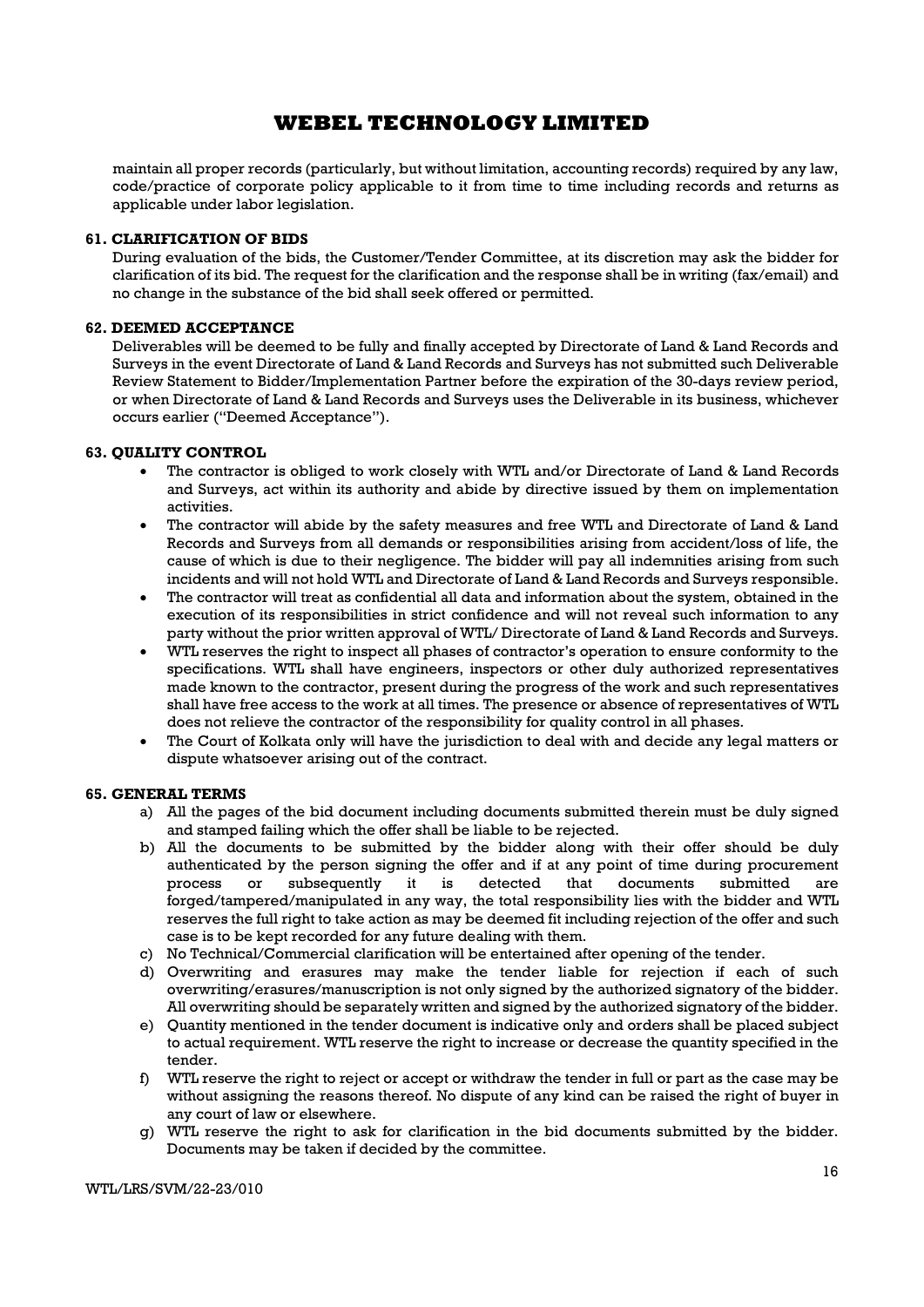maintain all proper records (particularly, but without limitation, accounting records) required by any law, code/practice of corporate policy applicable to it from time to time including records and returns as applicable under labor legislation.

### 61. CLARIFICATION OF BIDS

During evaluation of the bids, the Customer/Tender Committee, at its discretion may ask the bidder for clarification of its bid. The request for the clarification and the response shall be in writing (fax/email) and no change in the substance of the bid shall seek offered or permitted.

### 62. DEEMED ACCEPTANCE

Deliverables will be deemed to be fully and finally accepted by Directorate of Land & Land Records and Surveys in the event Directorate of Land & Land Records and Surveys has not submitted such Deliverable Review Statement to Bidder/Implementation Partner before the expiration of the 30-days review period, or when Directorate of Land & Land Records and Surveys uses the Deliverable in its business, whichever occurs earlier ("Deemed Acceptance").

#### 63. QUALITY CONTROL

- The contractor is obliged to work closely with WTL and/or Directorate of Land & Land Records and Surveys, act within its authority and abide by directive issued by them on implementation activities.
- The contractor will abide by the safety measures and free WTL and Directorate of Land & Land Records and Surveys from all demands or responsibilities arising from accident/loss of life, the cause of which is due to their negligence. The bidder will pay all indemnities arising from such incidents and will not hold WTL and Directorate of Land & Land Records and Surveys responsible.
- The contractor will treat as confidential all data and information about the system, obtained in the execution of its responsibilities in strict confidence and will not reveal such information to any party without the prior written approval of WTL/ Directorate of Land & Land Records and Surveys.
- WTL reserves the right to inspect all phases of contractor's operation to ensure conformity to the specifications. WTL shall have engineers, inspectors or other duly authorized representatives made known to the contractor, present during the progress of the work and such representatives shall have free access to the work at all times. The presence or absence of representatives of WTL does not relieve the contractor of the responsibility for quality control in all phases.
- The Court of Kolkata only will have the jurisdiction to deal with and decide any legal matters or dispute whatsoever arising out of the contract.

### 65. GENERAL TERMS

- a) All the pages of the bid document including documents submitted therein must be duly signed and stamped failing which the offer shall be liable to be rejected.
- b) All the documents to be submitted by the bidder along with their offer should be duly authenticated by the person signing the offer and if at any point of time during procurement process or subsequently it is detected that documents submitted are forged/tampered/manipulated in any way, the total responsibility lies with the bidder and WTL reserves the full right to take action as may be deemed fit including rejection of the offer and such case is to be kept recorded for any future dealing with them.
- c) No Technical/Commercial clarification will be entertained after opening of the tender.
- d) Overwriting and erasures may make the tender liable for rejection if each of such overwriting/erasures/manuscription is not only signed by the authorized signatory of the bidder. All overwriting should be separately written and signed by the authorized signatory of the bidder.
- e) Quantity mentioned in the tender document is indicative only and orders shall be placed subject to actual requirement. WTL reserve the right to increase or decrease the quantity specified in the tender.
- f) WTL reserve the right to reject or accept or withdraw the tender in full or part as the case may be without assigning the reasons thereof. No dispute of any kind can be raised the right of buyer in any court of law or elsewhere.
- g) WTL reserve the right to ask for clarification in the bid documents submitted by the bidder. Documents may be taken if decided by the committee.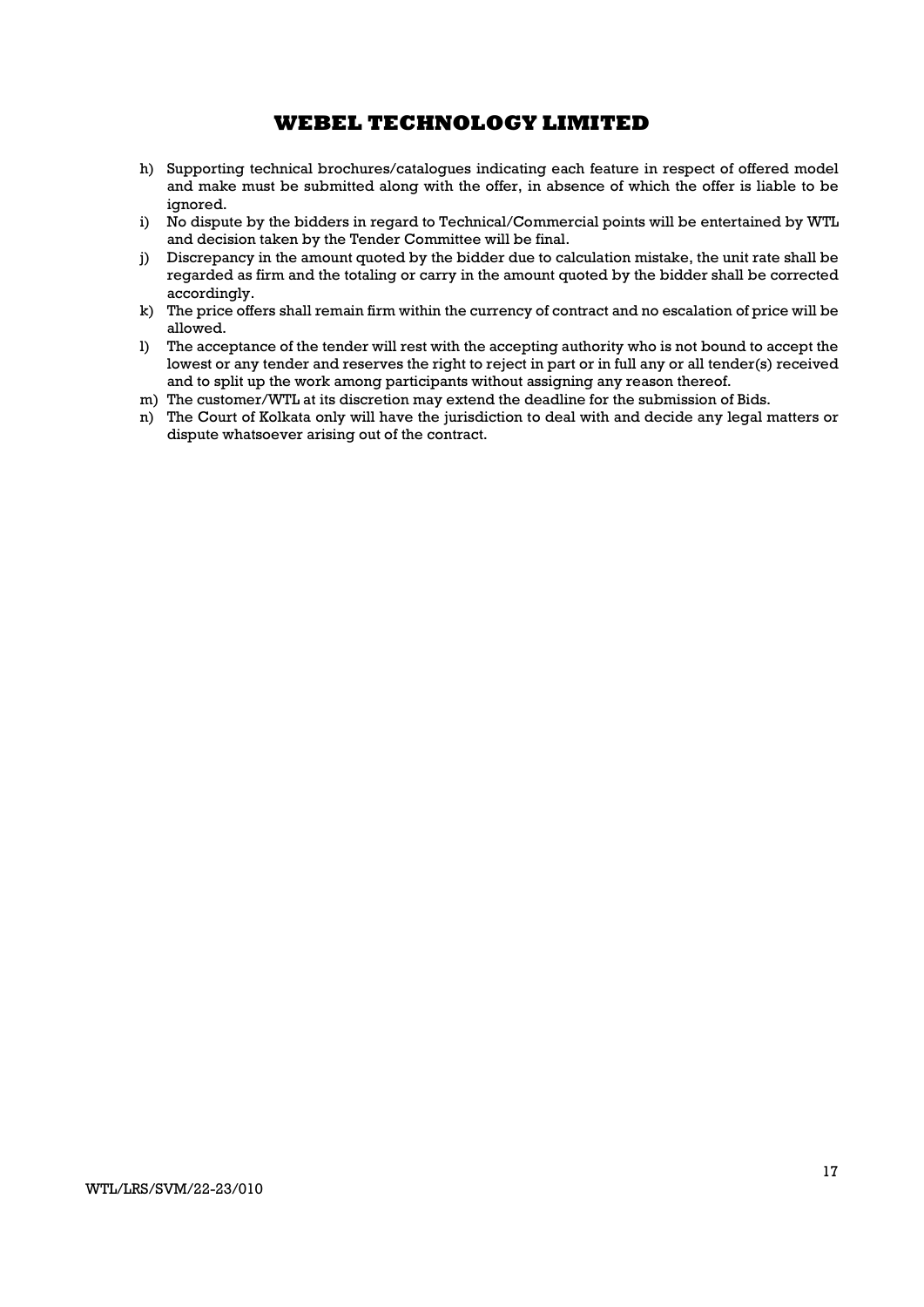- h) Supporting technical brochures/catalogues indicating each feature in respect of offered model and make must be submitted along with the offer, in absence of which the offer is liable to be ignored.
- i) No dispute by the bidders in regard to Technical/Commercial points will be entertained by WTL and decision taken by the Tender Committee will be final.
- j) Discrepancy in the amount quoted by the bidder due to calculation mistake, the unit rate shall be regarded as firm and the totaling or carry in the amount quoted by the bidder shall be corrected accordingly.
- k) The price offers shall remain firm within the currency of contract and no escalation of price will be allowed.
- l) The acceptance of the tender will rest with the accepting authority who is not bound to accept the lowest or any tender and reserves the right to reject in part or in full any or all tender(s) received and to split up the work among participants without assigning any reason thereof.
- m) The customer/WTL at its discretion may extend the deadline for the submission of Bids.
- n) The Court of Kolkata only will have the jurisdiction to deal with and decide any legal matters or dispute whatsoever arising out of the contract.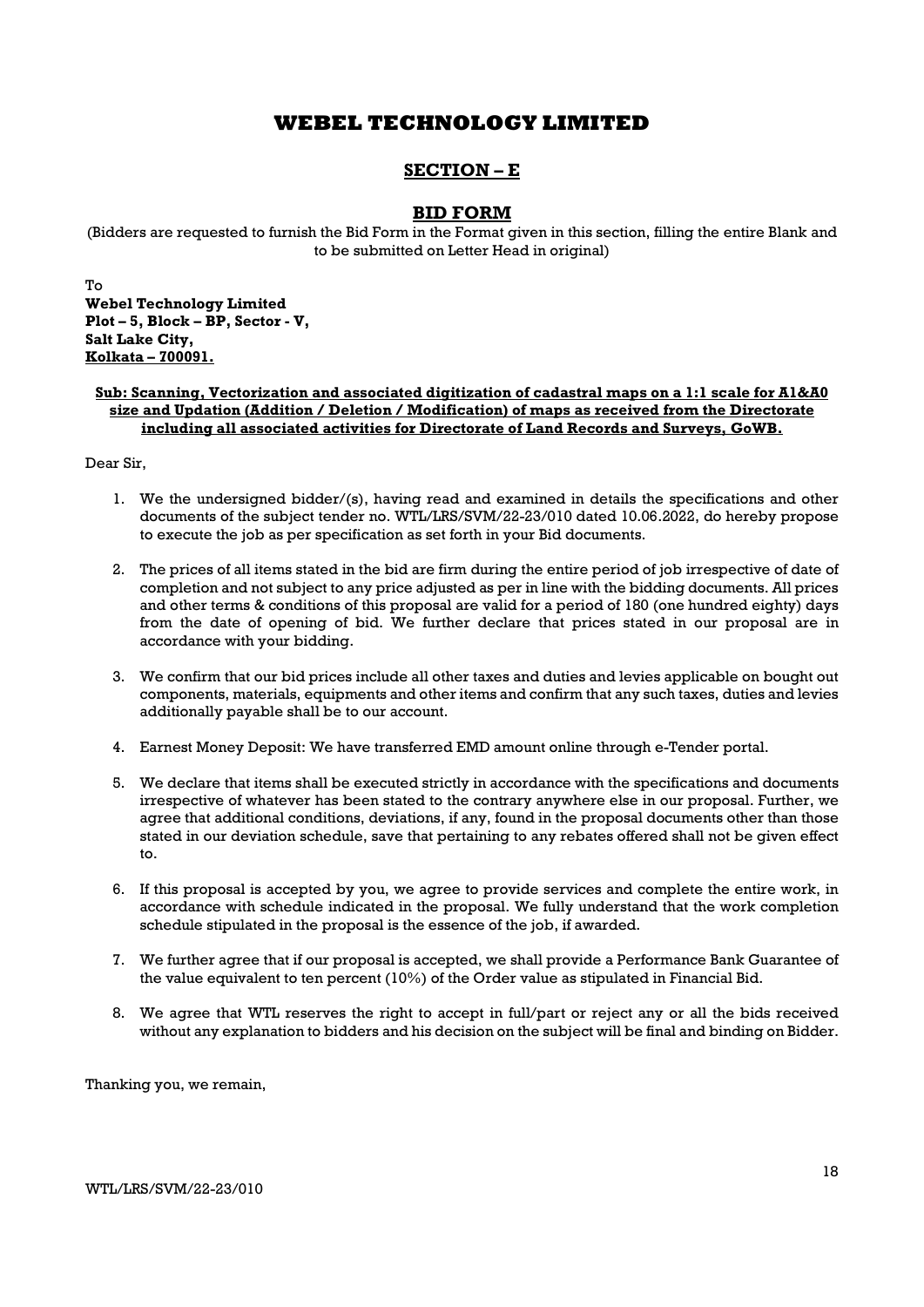# SECTION – E

## BID FORM

(Bidders are requested to furnish the Bid Form in the Format given in this section, filling the entire Blank and to be submitted on Letter Head in original)

To Webel Technology Limited Plot – 5, Block – BP, Sector - V, Salt Lake City, Kolkata – 700091.

### Sub: Scanning, Vectorization and associated digitization of cadastral maps on a 1:1 scale for A1&A0 size and Updation (Addition / Deletion / Modification) of maps as received from the Directorate including all associated activities for Directorate of Land Records and Surveys, GoWB.

Dear Sir,

- 1. We the undersigned bidder/(s), having read and examined in details the specifications and other documents of the subject tender no. WTL/LRS/SVM/22-23/010 dated 10.06.2022, do hereby propose to execute the job as per specification as set forth in your Bid documents.
- 2. The prices of all items stated in the bid are firm during the entire period of job irrespective of date of completion and not subject to any price adjusted as per in line with the bidding documents. All prices and other terms & conditions of this proposal are valid for a period of 180 (one hundred eighty) days from the date of opening of bid. We further declare that prices stated in our proposal are in accordance with your bidding.
- 3. We confirm that our bid prices include all other taxes and duties and levies applicable on bought out components, materials, equipments and other items and confirm that any such taxes, duties and levies additionally payable shall be to our account.
- 4. Earnest Money Deposit: We have transferred EMD amount online through e-Tender portal.
- 5. We declare that items shall be executed strictly in accordance with the specifications and documents irrespective of whatever has been stated to the contrary anywhere else in our proposal. Further, we agree that additional conditions, deviations, if any, found in the proposal documents other than those stated in our deviation schedule, save that pertaining to any rebates offered shall not be given effect to.
- 6. If this proposal is accepted by you, we agree to provide services and complete the entire work, in accordance with schedule indicated in the proposal. We fully understand that the work completion schedule stipulated in the proposal is the essence of the job, if awarded.
- 7. We further agree that if our proposal is accepted, we shall provide a Performance Bank Guarantee of the value equivalent to ten percent (10%) of the Order value as stipulated in Financial Bid.
- 8. We agree that WTL reserves the right to accept in full/part or reject any or all the bids received without any explanation to bidders and his decision on the subject will be final and binding on Bidder.

Thanking you, we remain,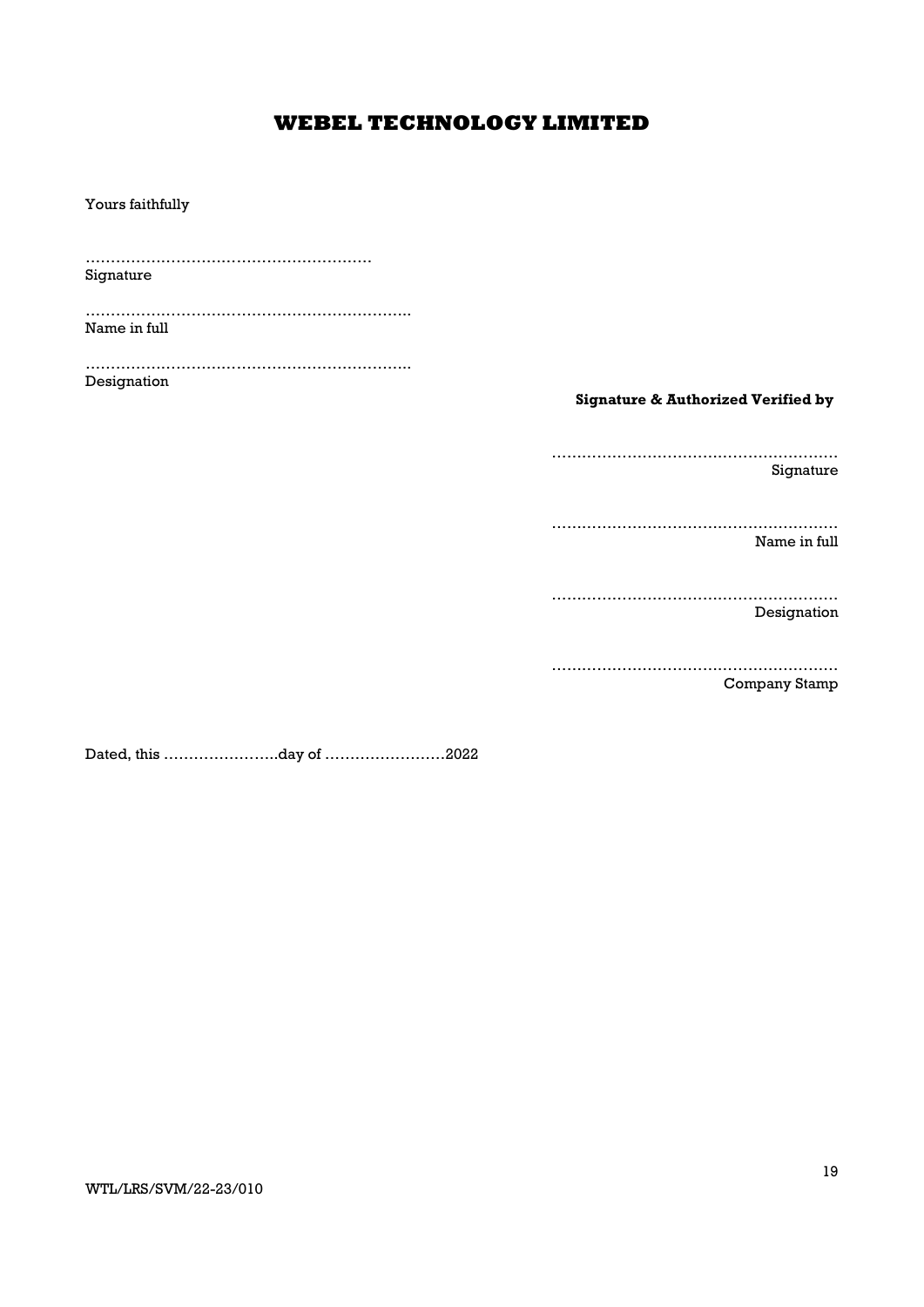Yours faithfully ………………………………………………… Signature ……………………………………………………….. Name in full ……………………………………………………….. Designation Signature & Authorized Verified by ………………………………………………… Signature ………………………………………………… Name in full ………………………………………………… Designation ………………………………………………… Company Stamp

Dated, this …………………..day of ……………………2022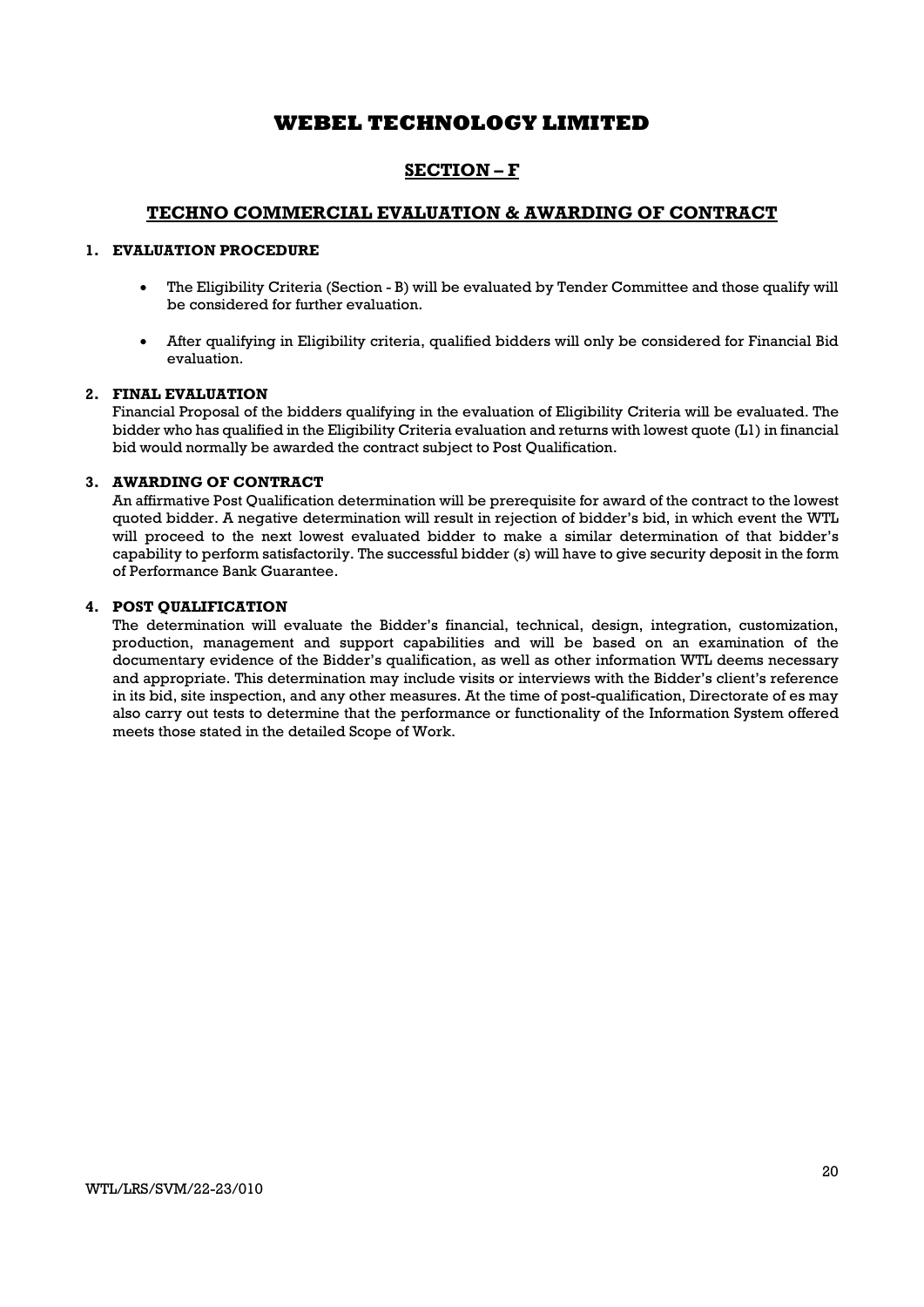# SECTION – F

## TECHNO COMMERCIAL EVALUATION & AWARDING OF CONTRACT

## 1. EVALUATION PROCEDURE

- The Eligibility Criteria (Section B) will be evaluated by Tender Committee and those qualify will be considered for further evaluation.
- After qualifying in Eligibility criteria, qualified bidders will only be considered for Financial Bid evaluation.

### 2. FINAL EVALUATION

Financial Proposal of the bidders qualifying in the evaluation of Eligibility Criteria will be evaluated. The bidder who has qualified in the Eligibility Criteria evaluation and returns with lowest quote (L1) in financial bid would normally be awarded the contract subject to Post Qualification.

### 3. AWARDING OF CONTRACT

An affirmative Post Qualification determination will be prerequisite for award of the contract to the lowest quoted bidder. A negative determination will result in rejection of bidder's bid, in which event the WTL will proceed to the next lowest evaluated bidder to make a similar determination of that bidder's capability to perform satisfactorily. The successful bidder (s) will have to give security deposit in the form of Performance Bank Guarantee.

## 4. POST QUALIFICATION

The determination will evaluate the Bidder's financial, technical, design, integration, customization, production, management and support capabilities and will be based on an examination of the documentary evidence of the Bidder's qualification, as well as other information WTL deems necessary and appropriate. This determination may include visits or interviews with the Bidder's client's reference in its bid, site inspection, and any other measures. At the time of post-qualification, Directorate of es may also carry out tests to determine that the performance or functionality of the Information System offered meets those stated in the detailed Scope of Work.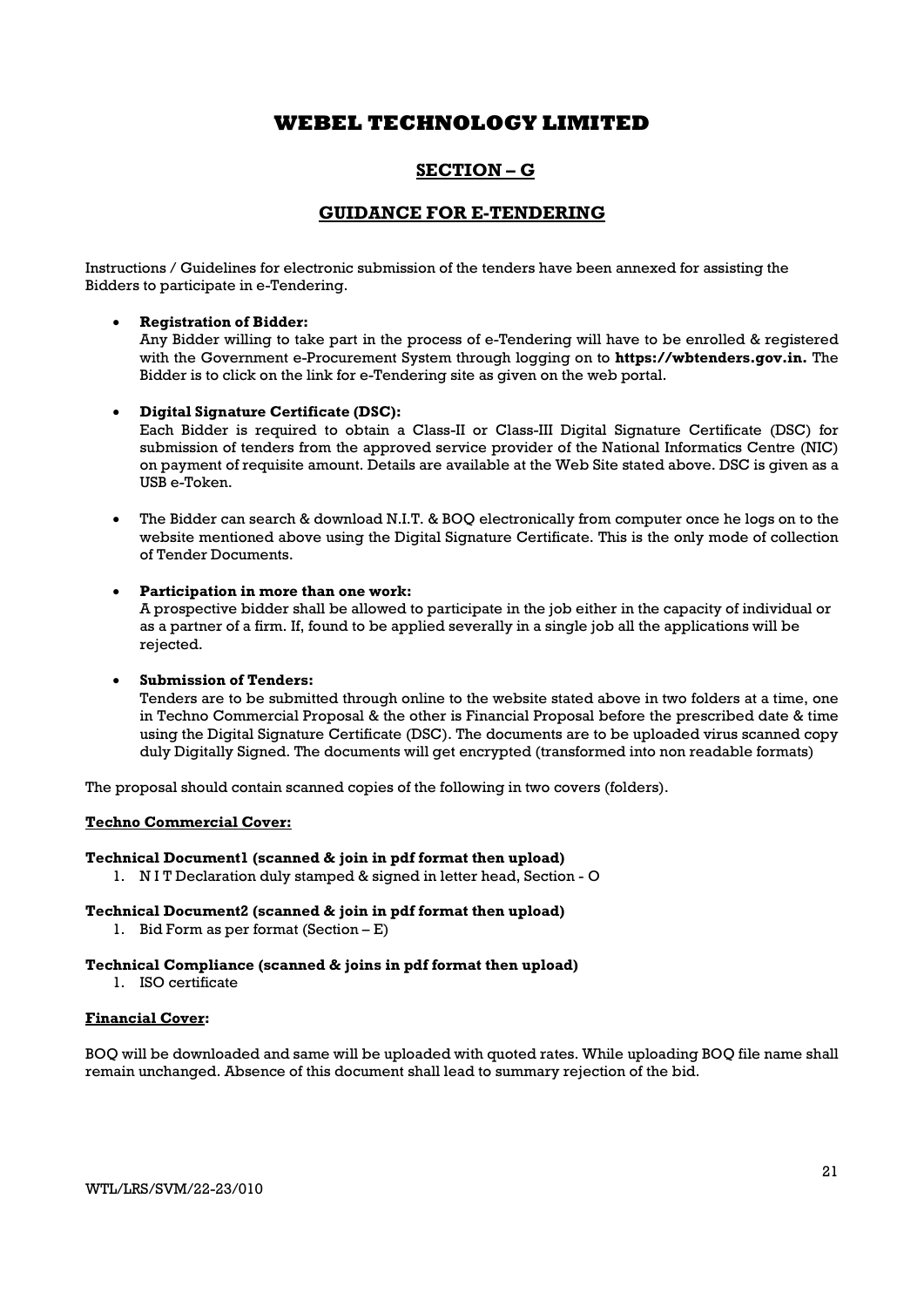# SECTION – G

## GUIDANCE FOR E-TENDERING

Instructions / Guidelines for electronic submission of the tenders have been annexed for assisting the Bidders to participate in e-Tendering.

### Registration of Bidder:

Any Bidder willing to take part in the process of e-Tendering will have to be enrolled & registered with the Government e-Procurement System through logging on to https://wbtenders.gov.in. The Bidder is to click on the link for e-Tendering site as given on the web portal.

#### Digital Signature Certificate (DSC):

Each Bidder is required to obtain a Class-II or Class-III Digital Signature Certificate (DSC) for submission of tenders from the approved service provider of the National Informatics Centre (NIC) on payment of requisite amount. Details are available at the Web Site stated above. DSC is given as a USB e-Token.

 The Bidder can search & download N.I.T. & BOQ electronically from computer once he logs on to the website mentioned above using the Digital Signature Certificate. This is the only mode of collection of Tender Documents.

#### Participation in more than one work:

A prospective bidder shall be allowed to participate in the job either in the capacity of individual or as a partner of a firm. If, found to be applied severally in a single job all the applications will be rejected.

### Submission of Tenders:

Tenders are to be submitted through online to the website stated above in two folders at a time, one in Techno Commercial Proposal & the other is Financial Proposal before the prescribed date & time using the Digital Signature Certificate (DSC). The documents are to be uploaded virus scanned copy duly Digitally Signed. The documents will get encrypted (transformed into non readable formats)

The proposal should contain scanned copies of the following in two covers (folders).

#### Techno Commercial Cover:

### Technical Document1 (scanned & join in pdf format then upload)

1. N I T Declaration duly stamped & signed in letter head, Section - O

### Technical Document2 (scanned & join in pdf format then upload)

1. Bid Form as per format (Section – E)

### Technical Compliance (scanned & joins in pdf format then upload)

1. ISO certificate

### Financial Cover:

BOQ will be downloaded and same will be uploaded with quoted rates. While uploading BOQ file name shall remain unchanged. Absence of this document shall lead to summary rejection of the bid.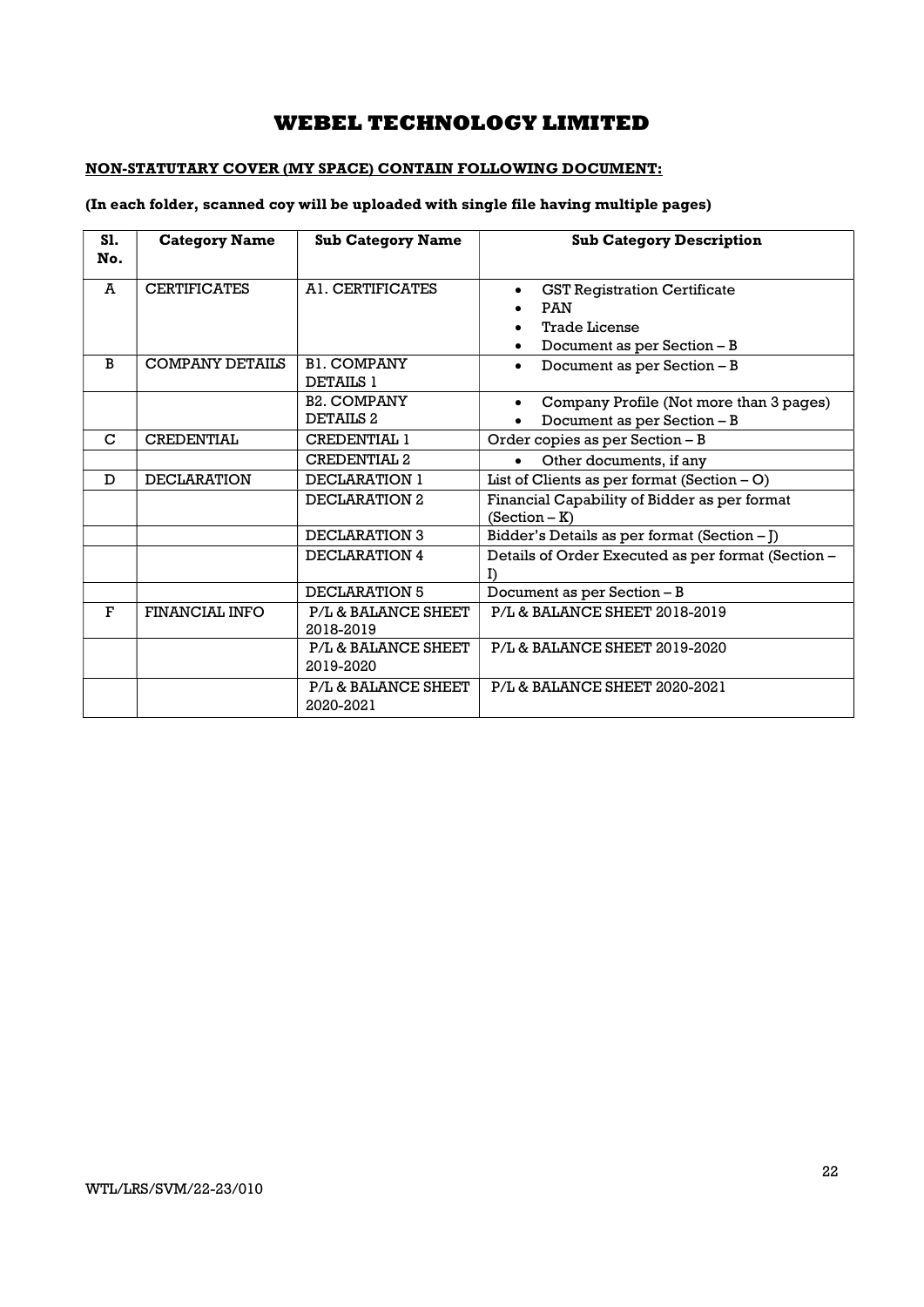# NON-STATUTARY COVER (MY SPACE) CONTAIN FOLLOWING DOCUMENT:

## (In each folder, scanned coy will be uploaded with single file having multiple pages)

| <b>S1.</b><br>No. | <b>Category Name</b>   | <b>Sub Category Name</b>                   | <b>Sub Category Description</b>                                                                          |
|-------------------|------------------------|--------------------------------------------|----------------------------------------------------------------------------------------------------------|
| A                 | <b>CERTIFICATES</b>    | A1. CERTIFICATES                           | <b>GST Registration Certificate</b><br><b>PAN</b><br><b>Trade License</b><br>Document as per Section - B |
| B                 | <b>COMPANY DETAILS</b> | <b>BL.COMPANY</b><br><b>DETAILS 1</b>      | Document as per Section - B<br>$\bullet$                                                                 |
|                   |                        | <b>B2. COMPANY</b><br>DETAILS <sub>2</sub> | Company Profile (Not more than 3 pages)<br>$\bullet$<br>Document as per Section - B                      |
| C                 | CREDENTIAL             | <b>CREDENTIAL 1</b>                        | Order copies as per Section - B                                                                          |
|                   |                        | <b>CREDENTIAL 2</b>                        | Other documents, if any<br>$\bullet$                                                                     |
| D                 | <b>DECLARATION</b>     | DECLARATION 1                              | List of Clients as per format $(Section - O)$                                                            |
|                   |                        | DECLARATION 2                              | Financial Capability of Bidder as per format<br>$(Section - K)$                                          |
|                   |                        | DECLARATION 3                              | Bidder's Details as per format (Section $-J$ )                                                           |
|                   |                        | DECLARATION 4                              | Details of Order Executed as per format (Section -<br>I)                                                 |
|                   |                        | DECLARATION 5                              | Document as per Section - B                                                                              |
| $\mathbf{F}$      | <b>FINANCIAL INFO</b>  | P/L & BALANCE SHEET<br>2018-2019           | P/L & BALANCE SHEET 2018-2019                                                                            |
|                   |                        | P/L & BALANCE SHEET<br>2019-2020           | P/L & BALANCE SHEET 2019-2020                                                                            |
|                   |                        | <b>P/L&amp; BALANCE SHEET</b><br>2020-2021 | P/L& BALANCE SHEET 2020-2021                                                                             |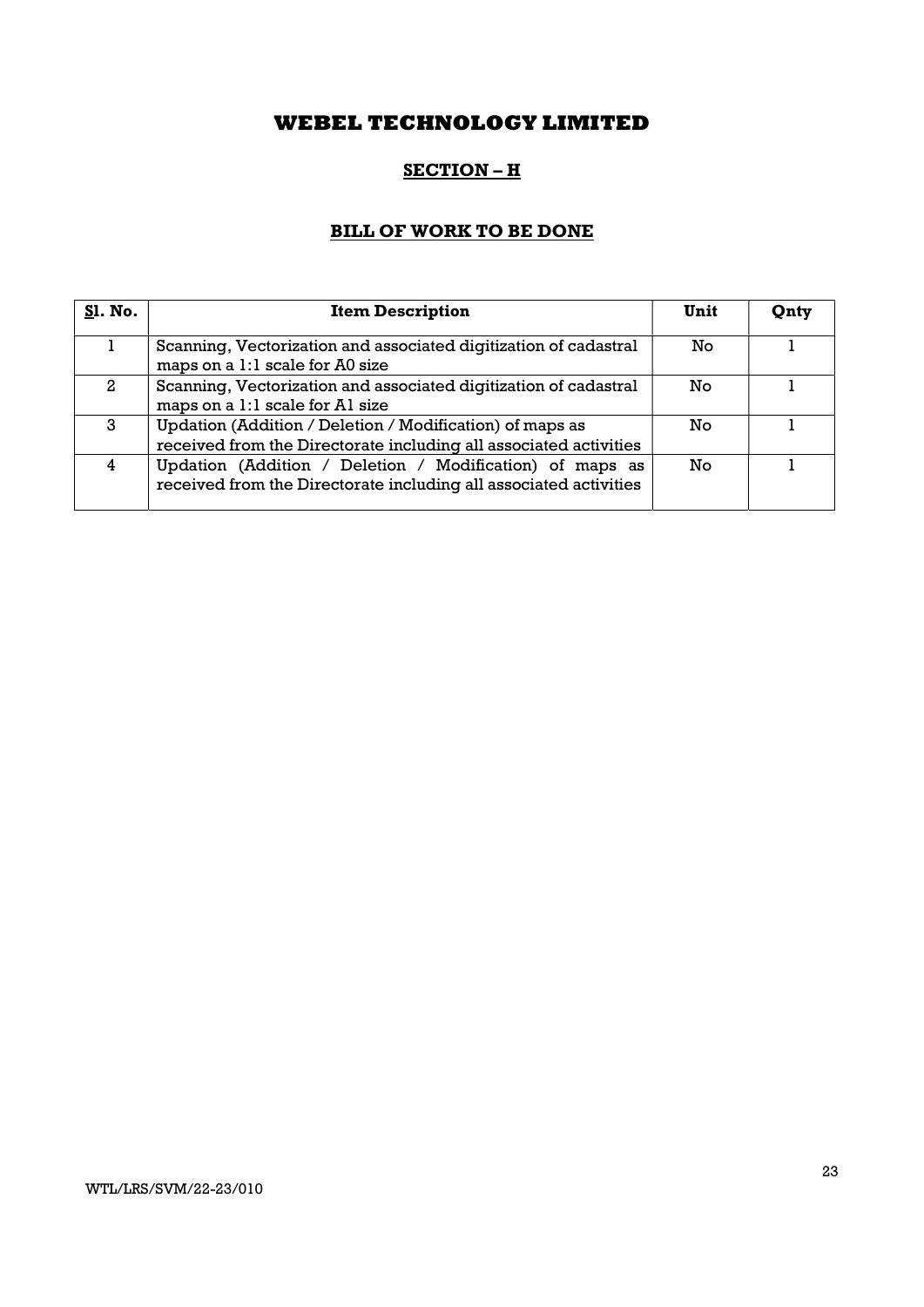# SECTION – H

# BILL OF WORK TO BE DONE

| <b>S1. No.</b> | <b>Item Description</b>                                                                                                       | Unit | Qnty |
|----------------|-------------------------------------------------------------------------------------------------------------------------------|------|------|
|                | Scanning, Vectorization and associated digitization of cadastral<br>maps on a 1:1 scale for A0 size                           | No   |      |
| $\mathbf{2}$   | Scanning, Vectorization and associated digitization of cadastral<br>maps on a 1:1 scale for A1 size                           | No   |      |
| 3              | Updation (Addition / Deletion / Modification) of maps as<br>received from the Directorate including all associated activities | Nο   |      |
| 4              | Updation (Addition / Deletion / Modification) of maps as<br>received from the Directorate including all associated activities | No   |      |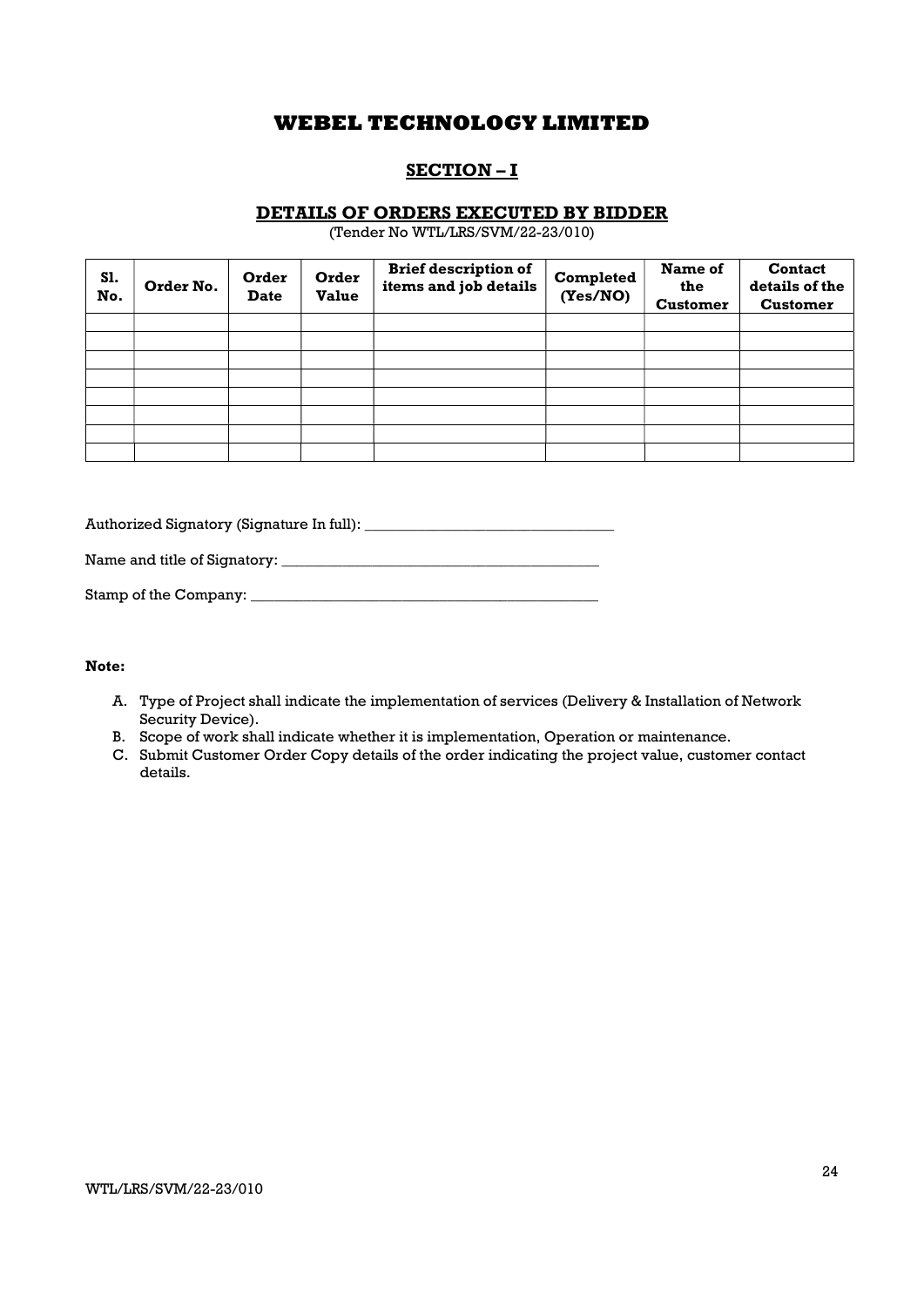# SECTION – I

## DETAILS OF ORDERS EXECUTED BY BIDDER

(Tender No WTL/LRS/SVM/22-23/010)

| S1.<br>No. | Order No. | Order<br><b>Date</b> | Order<br><b>Value</b> | <b>Brief description of</b><br>items and job details | Completed<br>(Yes/NO) | Name of<br>the<br><b>Customer</b> | <b>Contact</b><br>details of the<br><b>Customer</b> |
|------------|-----------|----------------------|-----------------------|------------------------------------------------------|-----------------------|-----------------------------------|-----------------------------------------------------|
|            |           |                      |                       |                                                      |                       |                                   |                                                     |
|            |           |                      |                       |                                                      |                       |                                   |                                                     |
|            |           |                      |                       |                                                      |                       |                                   |                                                     |
|            |           |                      |                       |                                                      |                       |                                   |                                                     |
|            |           |                      |                       |                                                      |                       |                                   |                                                     |
|            |           |                      |                       |                                                      |                       |                                   |                                                     |
|            |           |                      |                       |                                                      |                       |                                   |                                                     |
|            |           |                      |                       |                                                      |                       |                                   |                                                     |

Authorized Signatory (Signature In full): \_\_\_\_\_\_\_\_\_\_\_\_\_\_\_\_\_\_\_\_\_\_\_\_\_\_\_\_\_\_\_\_\_

Name and title of Signatory: \_\_\_\_\_\_\_\_\_\_\_\_\_\_\_\_\_\_\_\_\_\_\_\_\_\_\_\_\_\_\_\_\_\_\_\_\_\_\_\_\_\_

| Stamp of the Company: |  |
|-----------------------|--|
|-----------------------|--|

#### Note:

- A. Type of Project shall indicate the implementation of services (Delivery & Installation of Network Security Device).
- B. Scope of work shall indicate whether it is implementation, Operation or maintenance.
- C. Submit Customer Order Copy details of the order indicating the project value, customer contact details.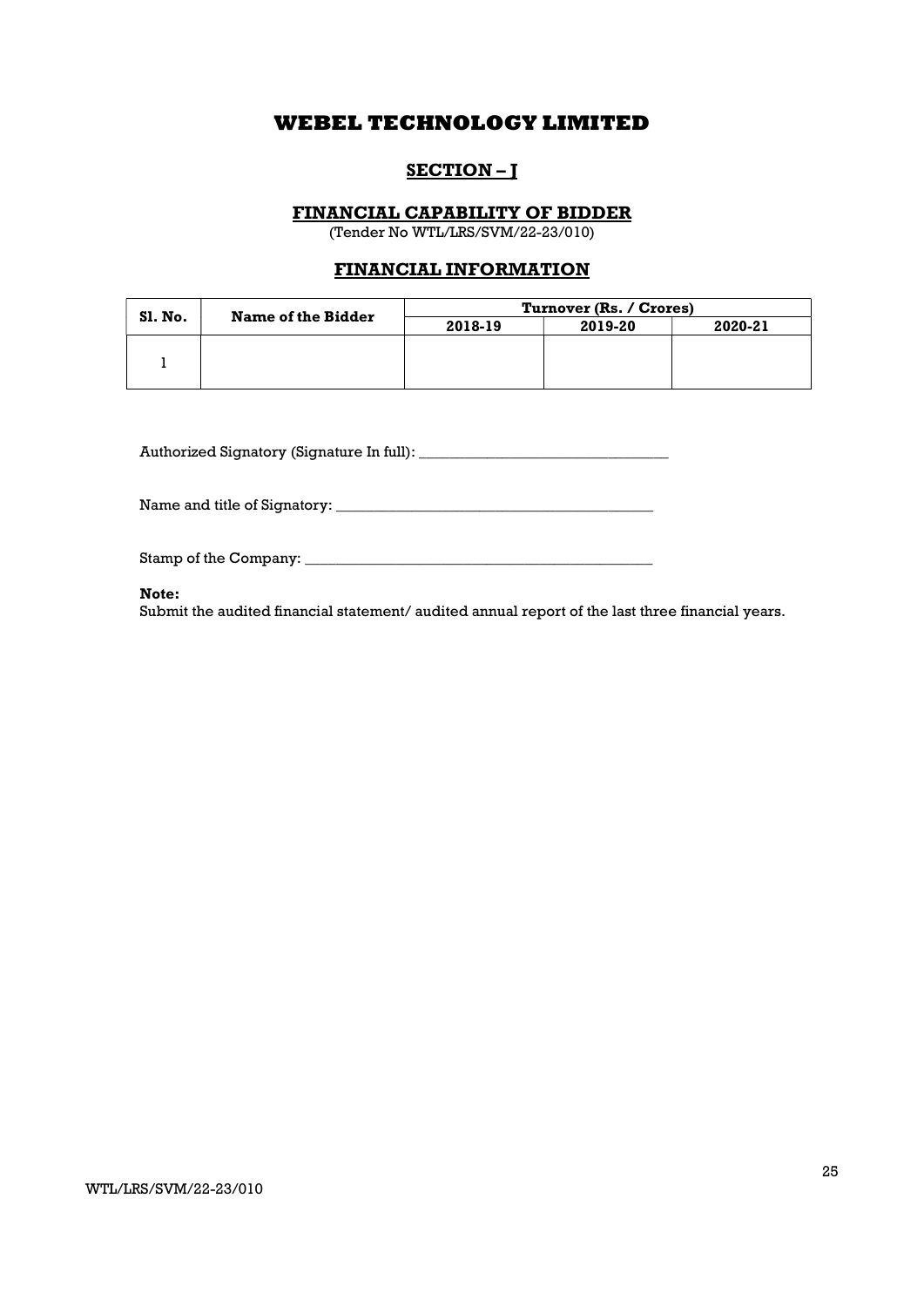# SECTION-J

## FINANCIAL CAPABILITY OF BIDDER

(Tender No WTL/LRS/SVM/22-23/010)

# FINANCIAL INFORMATION

| SI. No. | <b>Name of the Bidder</b> | Turnover (Rs. / Crores) |         |         |  |  |
|---------|---------------------------|-------------------------|---------|---------|--|--|
|         |                           | 2018-19                 | 2019-20 | 2020-21 |  |  |
|         |                           |                         |         |         |  |  |
|         |                           |                         |         |         |  |  |
|         |                           |                         |         |         |  |  |

Authorized Signatory (Signature In full): \_\_\_\_\_\_\_\_\_\_\_\_\_\_\_\_\_\_\_\_\_\_\_\_\_\_\_\_\_\_\_\_\_

Name and title of Signatory: \_\_\_\_\_\_\_\_\_\_\_\_\_\_\_\_\_\_\_\_\_\_\_\_\_\_\_\_\_\_\_\_\_\_\_\_\_\_\_\_\_\_

Stamp of the Company: \_\_\_\_\_\_\_\_\_\_\_\_\_\_\_\_\_\_\_\_\_\_\_\_\_\_\_\_\_\_\_\_\_\_\_\_\_\_\_\_\_\_\_\_\_\_

### Note:

Submit the audited financial statement/ audited annual report of the last three financial years.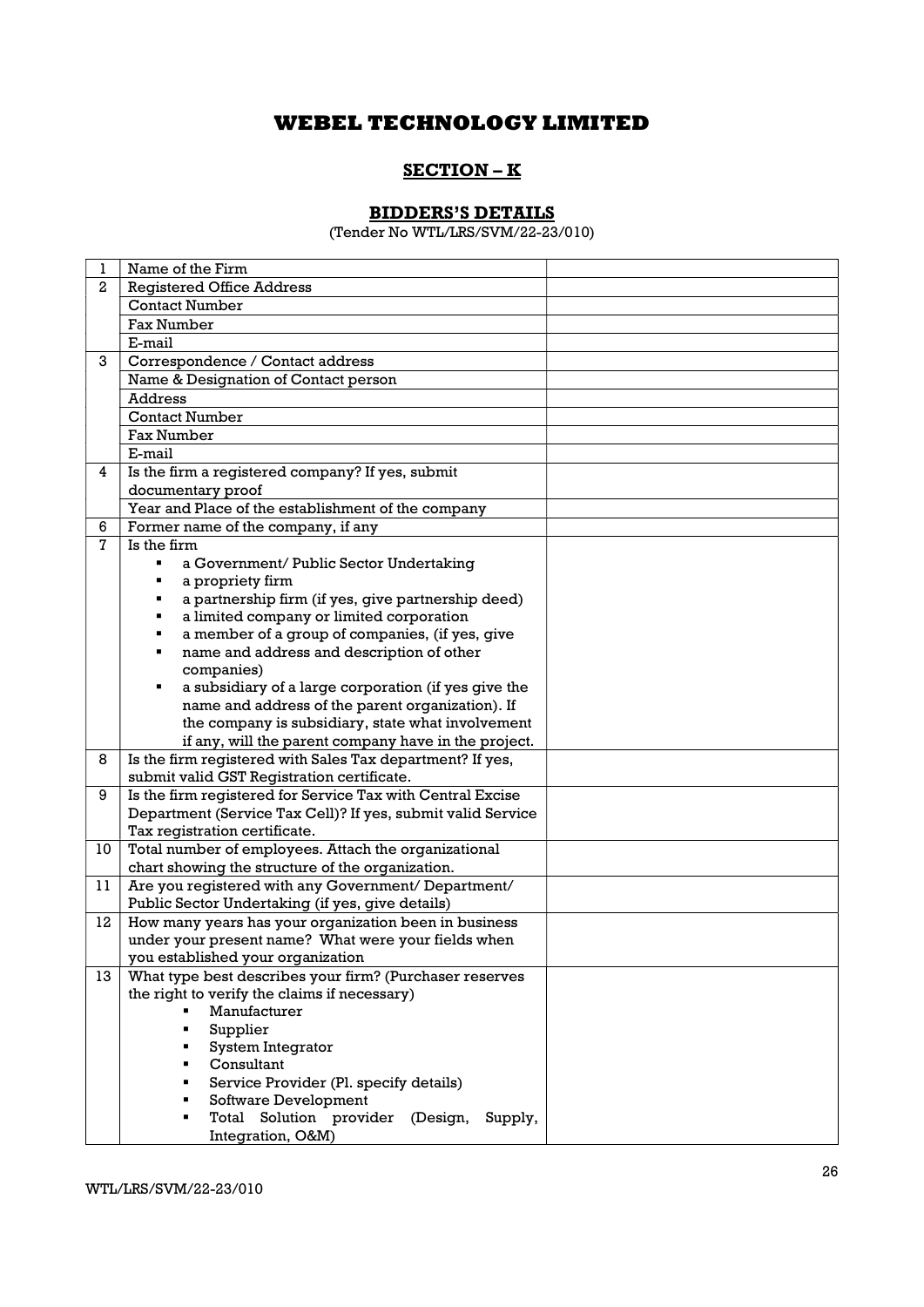# SECTION – K

# BIDDERS'S DETAILS

(Tender No WTL/LRS/SVM/22-23/010)

| 1            | Name of the Firm                                               |  |
|--------------|----------------------------------------------------------------|--|
| $\mathbf{2}$ | <b>Registered Office Address</b>                               |  |
|              | <b>Contact Number</b>                                          |  |
|              | <b>Fax Number</b>                                              |  |
|              | E-mail                                                         |  |
| 3            | Correspondence / Contact address                               |  |
|              | Name & Designation of Contact person                           |  |
|              | <b>Address</b>                                                 |  |
|              | <b>Contact Number</b>                                          |  |
|              | Fax Number                                                     |  |
|              | E-mail                                                         |  |
| 4            | Is the firm a registered company? If yes, submit               |  |
|              | documentary proof                                              |  |
|              | Year and Place of the establishment of the company             |  |
| 6            | Former name of the company, if any                             |  |
| 7            | Is the firm                                                    |  |
|              | a Government/ Public Sector Undertaking                        |  |
|              | a propriety firm                                               |  |
|              | a partnership firm (if yes, give partnership deed)<br>Ξ        |  |
|              | a limited company or limited corporation                       |  |
|              | a member of a group of companies, (if yes, give<br>٠           |  |
|              | name and address and description of other                      |  |
|              | companies)                                                     |  |
|              | a subsidiary of a large corporation (if yes give the<br>Ξ      |  |
|              | name and address of the parent organization). If               |  |
|              | the company is subsidiary, state what involvement              |  |
|              | if any, will the parent company have in the project.           |  |
| 8            | Is the firm registered with Sales Tax department? If yes,      |  |
|              | submit valid GST Registration certificate.                     |  |
| 9            | Is the firm registered for Service Tax with Central Excise     |  |
|              | Department (Service Tax Cell)? If yes, submit valid Service    |  |
|              | Tax registration certificate.                                  |  |
| 10           | Total number of employees. Attach the organizational           |  |
|              | chart showing the structure of the organization.               |  |
| 11           | Are you registered with any Government/ Department/            |  |
|              | Public Sector Undertaking (if yes, give details)               |  |
| 12           | How many years has your organization been in business          |  |
|              | under your present name? What were your fields when            |  |
|              | you established your organization                              |  |
| 13           | What type best describes your firm? (Purchaser reserves        |  |
|              | the right to verify the claims if necessary)                   |  |
|              | Manufacturer                                                   |  |
|              | Supplier                                                       |  |
|              | System Integrator<br>Consultant                                |  |
|              |                                                                |  |
|              | Service Provider (Pl. specify details)<br>Software Development |  |
|              | Total Solution provider (Design,<br>٠                          |  |
|              | Supply,<br>Integration, O&M)                                   |  |
|              |                                                                |  |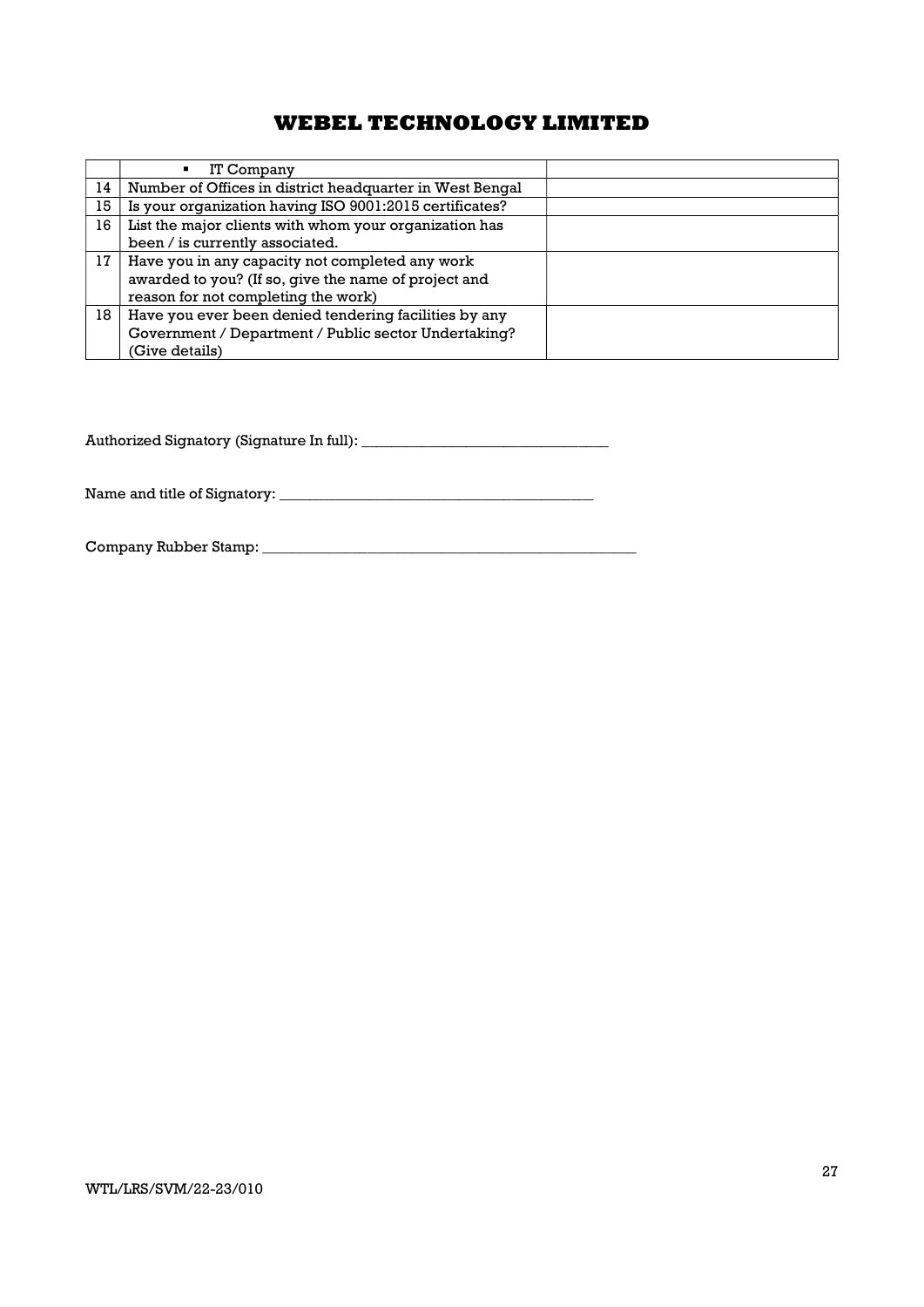|    | IT Company<br>٠                                          |  |
|----|----------------------------------------------------------|--|
| 14 | Number of Offices in district headquarter in West Bengal |  |
| 15 | Is your organization having ISO 9001:2015 certificates?  |  |
| 16 | List the major clients with whom your organization has   |  |
|    | been / is currently associated.                          |  |
| 17 | Have you in any capacity not completed any work          |  |
|    | awarded to you? (If so, give the name of project and     |  |
|    | reason for not completing the work)                      |  |
| 18 | Have you ever been denied tendering facilities by any    |  |
|    | Government / Department / Public sector Undertaking?     |  |
|    | (Give details)                                           |  |

Authorized Signatory (Signature In full): \_\_\_\_\_\_\_\_\_\_\_\_\_\_\_\_\_\_\_\_\_\_\_\_\_\_\_\_\_\_\_\_\_

Name and title of Signatory: \_\_\_\_\_\_\_\_\_\_\_\_\_\_\_\_\_\_\_\_\_\_\_\_\_\_\_\_\_\_\_\_\_\_\_\_\_\_\_\_\_\_

Company Rubber Stamp: \_\_\_\_\_\_\_\_\_\_\_\_\_\_\_\_\_\_\_\_\_\_\_\_\_\_\_\_\_\_\_\_\_\_\_\_\_\_\_\_\_\_\_\_\_\_\_\_\_\_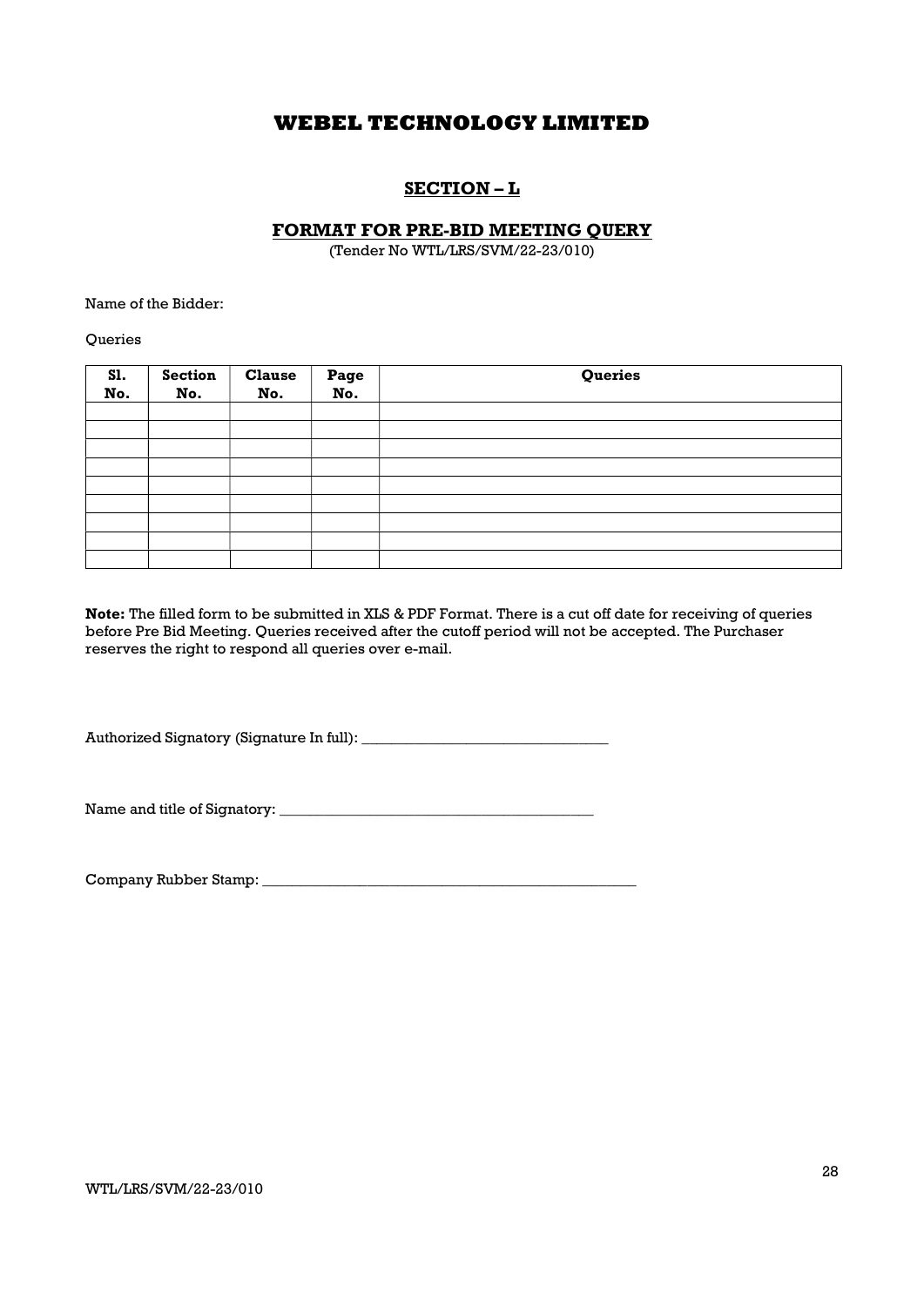# SECTION – L

## FORMAT FOR PRE-BID MEETING QUERY

(Tender No WTL/LRS/SVM/22-23/010)

Name of the Bidder:

**Oueries** 

| S1.<br>No. | <b>Section</b><br>No. | <b>Clause</b><br>No. | Page<br>No. | Queries |
|------------|-----------------------|----------------------|-------------|---------|
|            |                       |                      |             |         |
|            |                       |                      |             |         |
|            |                       |                      |             |         |
|            |                       |                      |             |         |
|            |                       |                      |             |         |
|            |                       |                      |             |         |
|            |                       |                      |             |         |
|            |                       |                      |             |         |
|            |                       |                      |             |         |

Note: The filled form to be submitted in XLS & PDF Format. There is a cut off date for receiving of queries before Pre Bid Meeting. Queries received after the cutoff period will not be accepted. The Purchaser reserves the right to respond all queries over e-mail.

Authorized Signatory (Signature In full): \_\_\_\_\_\_\_\_\_\_\_\_\_\_\_\_\_\_\_\_\_\_\_\_\_\_\_\_\_\_\_\_\_

Name and title of Signatory:

Company Rubber Stamp: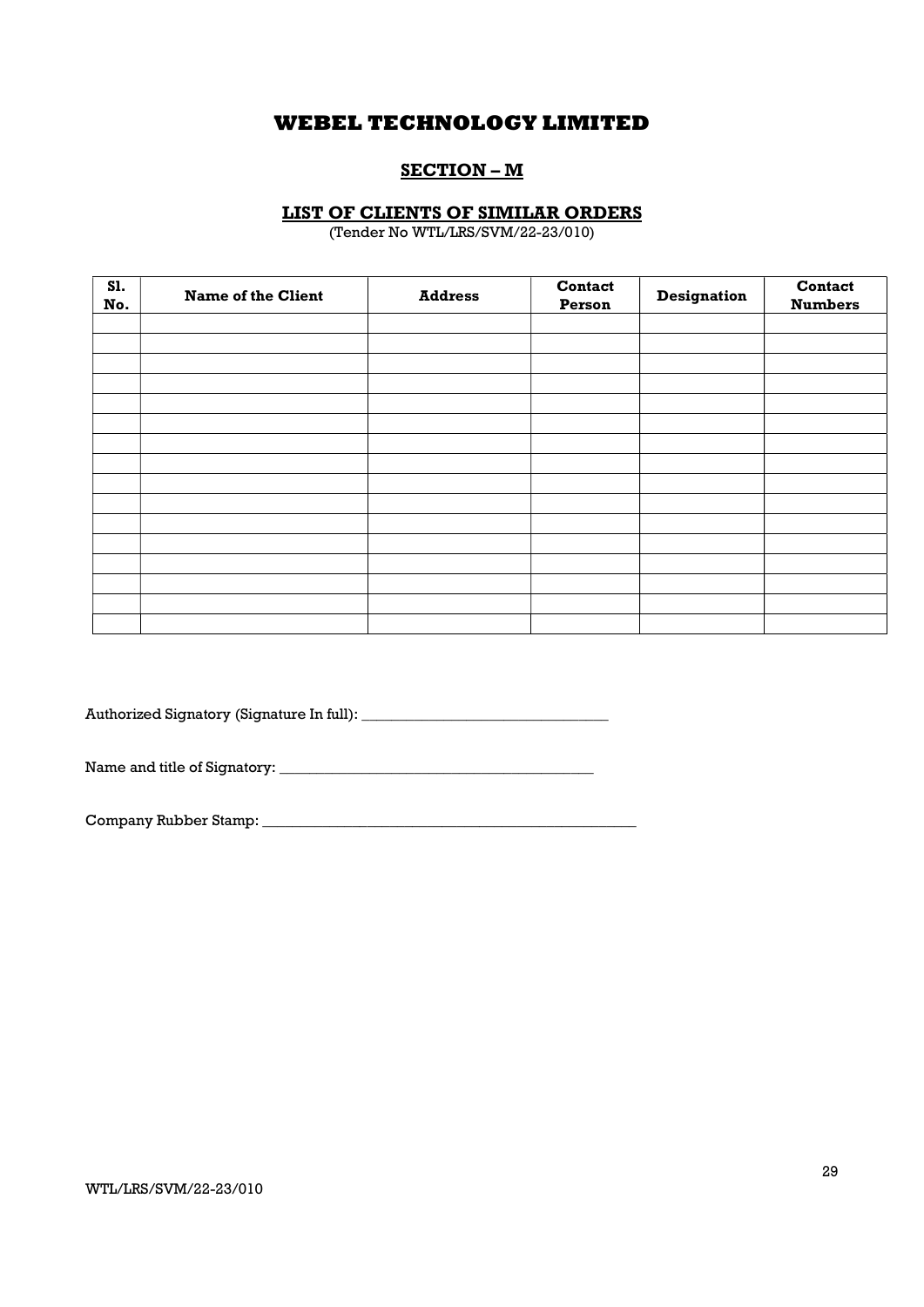# SECTION – M

## LIST OF CLIENTS OF SIMILAR ORDERS

(Tender No WTL/LRS/SVM/22-23/010)

| S1.<br>No. | <b>Name of the Client</b> | <b>Address</b> | Contact<br>Person | <b>Designation</b> | <b>Contact</b><br><b>Numbers</b> |
|------------|---------------------------|----------------|-------------------|--------------------|----------------------------------|
|            |                           |                |                   |                    |                                  |
|            |                           |                |                   |                    |                                  |
|            |                           |                |                   |                    |                                  |
|            |                           |                |                   |                    |                                  |
|            |                           |                |                   |                    |                                  |
|            |                           |                |                   |                    |                                  |
|            |                           |                |                   |                    |                                  |
|            |                           |                |                   |                    |                                  |
|            |                           |                |                   |                    |                                  |
|            |                           |                |                   |                    |                                  |
|            |                           |                |                   |                    |                                  |
|            |                           |                |                   |                    |                                  |
|            |                           |                |                   |                    |                                  |
|            |                           |                |                   |                    |                                  |
|            |                           |                |                   |                    |                                  |

Authorized Signatory (Signature In full): \_\_\_\_\_\_\_\_\_\_\_\_\_\_\_\_\_\_\_\_\_\_\_\_\_\_\_\_\_\_\_\_\_

Name and title of Signatory: \_\_\_\_\_\_\_\_\_\_\_\_\_\_\_\_\_\_\_\_\_\_\_\_\_\_\_\_\_\_\_\_\_\_\_\_\_\_\_\_\_\_

Company Rubber Stamp: \_\_\_\_\_\_\_\_\_\_\_\_\_\_\_\_\_\_\_\_\_\_\_\_\_\_\_\_\_\_\_\_\_\_\_\_\_\_\_\_\_\_\_\_\_\_\_\_\_\_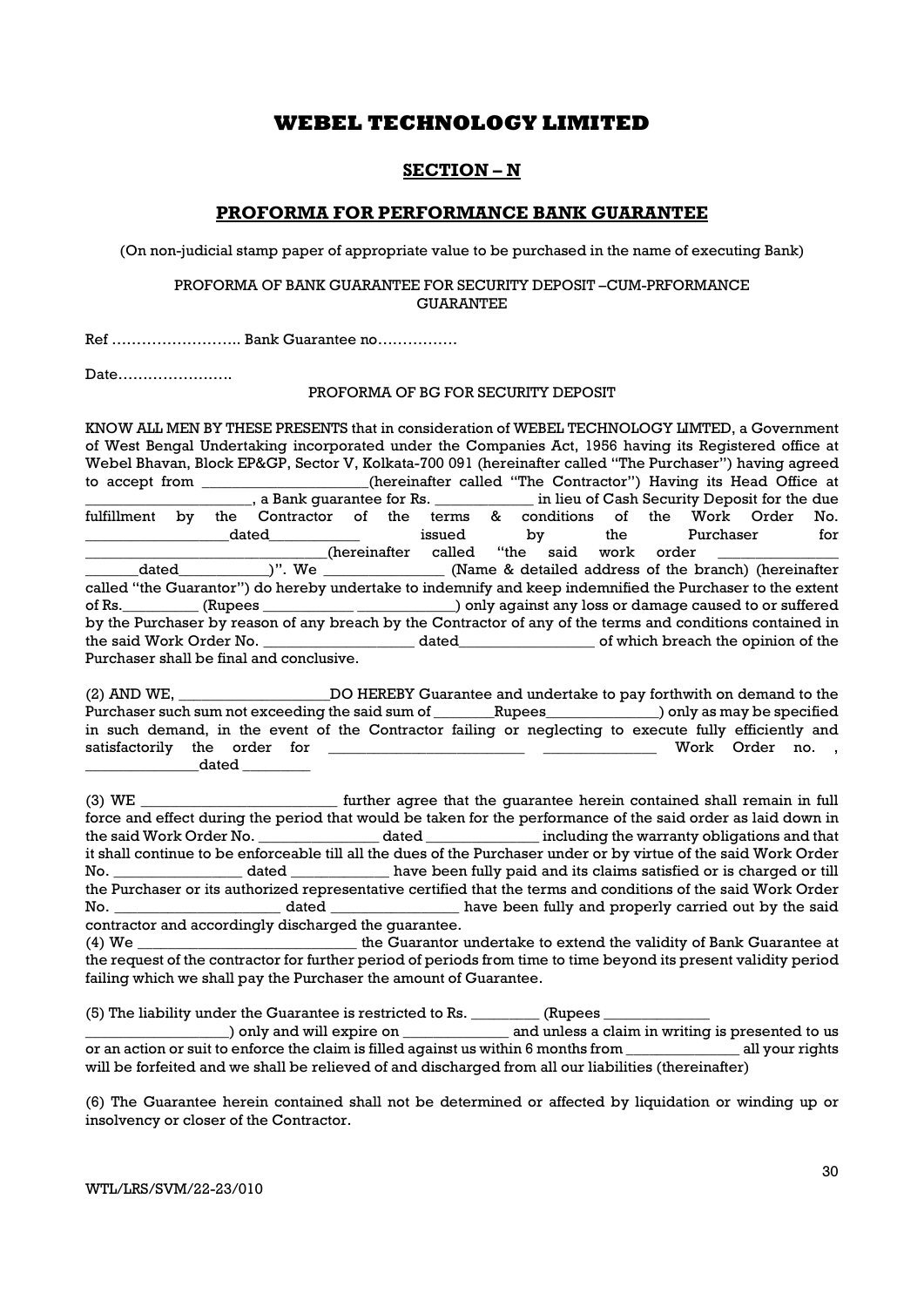## SECTION – N

## PROFORMA FOR PERFORMANCE BANK GUARANTEE

(On non-judicial stamp paper of appropriate value to be purchased in the name of executing Bank)

#### PROFORMA OF BANK GUARANTEE FOR SECURITY DEPOSIT –CUM-PRFORMANCE **GUARANTEE**

Ref …………………….. Bank Guarantee no…………….

Date…………………..

### PROFORMA OF BG FOR SECURITY DEPOSIT

KNOW ALL MEN BY THESE PRESENTS that in consideration of WEBEL TECHNOLOGY LIMTED, a Government of West Bengal Undertaking incorporated under the Companies Act, 1956 having its Registered office at Webel Bhavan, Block EP&GP, Sector V, Kolkata-700 091 (hereinafter called "The Purchaser") having agreed to accept from \_\_\_\_\_\_\_\_\_\_\_\_\_\_\_\_\_\_\_\_\_\_(hereinafter called "The Contractor") Having its Head Office at \_\_\_\_\_\_\_\_\_\_\_\_\_\_\_\_\_\_\_\_\_\_, a Bank guarantee for Rs. \_\_\_\_\_\_\_\_\_\_\_\_\_ in lieu of Cash Security Deposit for the due fulfillment by the Contractor of the terms & conditions of the Work Order No. \_\_\_\_\_\_\_\_\_\_\_\_\_\_\_\_\_\_\_dated\_\_\_\_\_\_\_\_\_\_\_\_ issued by the Purchaser for (hereinafter called "the said work order<br>
)". We (Name & detailed address of the b dated  $)$ ". We  $\qquad$  (Name & detailed address of the branch) (hereinafter called "the Guarantor") do hereby undertake to indemnify and keep indemnified the Purchaser to the extent of Rs.\_\_\_\_\_\_\_\_\_\_ (Rupees \_\_\_\_\_\_\_\_\_\_\_\_ \_\_\_\_\_\_\_\_\_\_\_\_\_) only against any loss or damage caused to or suffered by the Purchaser by reason of any breach by the Contractor of any of the terms and conditions contained in the said Work Order No. dated entity of which breach the opinion of the Purchaser shall be final and conclusive.

| (2) AND WE,                                                                                           |       | <u> 1980 - Jan Barbara Barbara, prima prima prima prima prima prima prima prima prima prima prima prima prima pri</u> |  | DO HEREBY Guarantee and undertake to pay forthwith on demand to the |                  |  |  |
|-------------------------------------------------------------------------------------------------------|-------|-----------------------------------------------------------------------------------------------------------------------|--|---------------------------------------------------------------------|------------------|--|--|
| Purchaser such sum not exceeding the said sum of Rupees Rupees and Donly as may be specified          |       |                                                                                                                       |  |                                                                     |                  |  |  |
| in such demand, in the event of the Contractor failing or neglecting to execute fully efficiently and |       |                                                                                                                       |  |                                                                     |                  |  |  |
| satisfactorily the order for                                                                          |       |                                                                                                                       |  |                                                                     | Work Order no. . |  |  |
|                                                                                                       | dated |                                                                                                                       |  |                                                                     |                  |  |  |

(3) WE THE 1990 ME THE STATE of the guarantee herein contained shall remain in full force and effect during the period that would be taken for the performance of the said order as laid down in the said Work Order No. \_\_\_\_\_\_\_\_\_\_\_\_\_\_\_\_ dated \_\_\_\_\_\_\_\_\_\_\_\_\_\_\_ including the warranty obligations and that it shall continue to be enforceable till all the dues of the Purchaser under or by virtue of the said Work Order No. \_\_\_\_\_\_\_\_\_\_\_\_\_\_\_\_\_ dated \_\_\_\_\_\_\_\_\_\_\_\_\_ have been fully paid and its claims satisfied or is charged or till the Purchaser or its authorized representative certified that the terms and conditions of the said Work Order No. \_\_\_\_\_\_\_\_\_\_\_\_\_\_\_\_\_\_\_\_\_\_ dated \_\_\_\_\_\_\_\_\_\_\_\_\_\_\_\_\_ have been fully and properly carried out by the said contractor and accordingly discharged the guarantee.

(4) We \_\_\_\_\_\_\_\_\_\_\_\_\_\_\_\_\_\_\_\_\_\_\_\_\_\_\_\_\_ the Guarantor undertake to extend the validity of Bank Guarantee at the request of the contractor for further period of periods from time to time beyond its present validity period failing which we shall pay the Purchaser the amount of Guarantee.

(5) The liability under the Guarantee is restricted to Rs. \_\_\_\_\_\_\_\_\_ (Rupees \_\_\_\_\_\_\_\_\_\_\_\_\_\_

) only and will expire on  $\qquad \qquad$  and unless a claim in writing is presented to us or an action or suit to enforce the claim is filled against us within 6 months from all your rights will be forfeited and we shall be relieved of and discharged from all our liabilities (thereinafter)

(6) The Guarantee herein contained shall not be determined or affected by liquidation or winding up or insolvency or closer of the Contractor.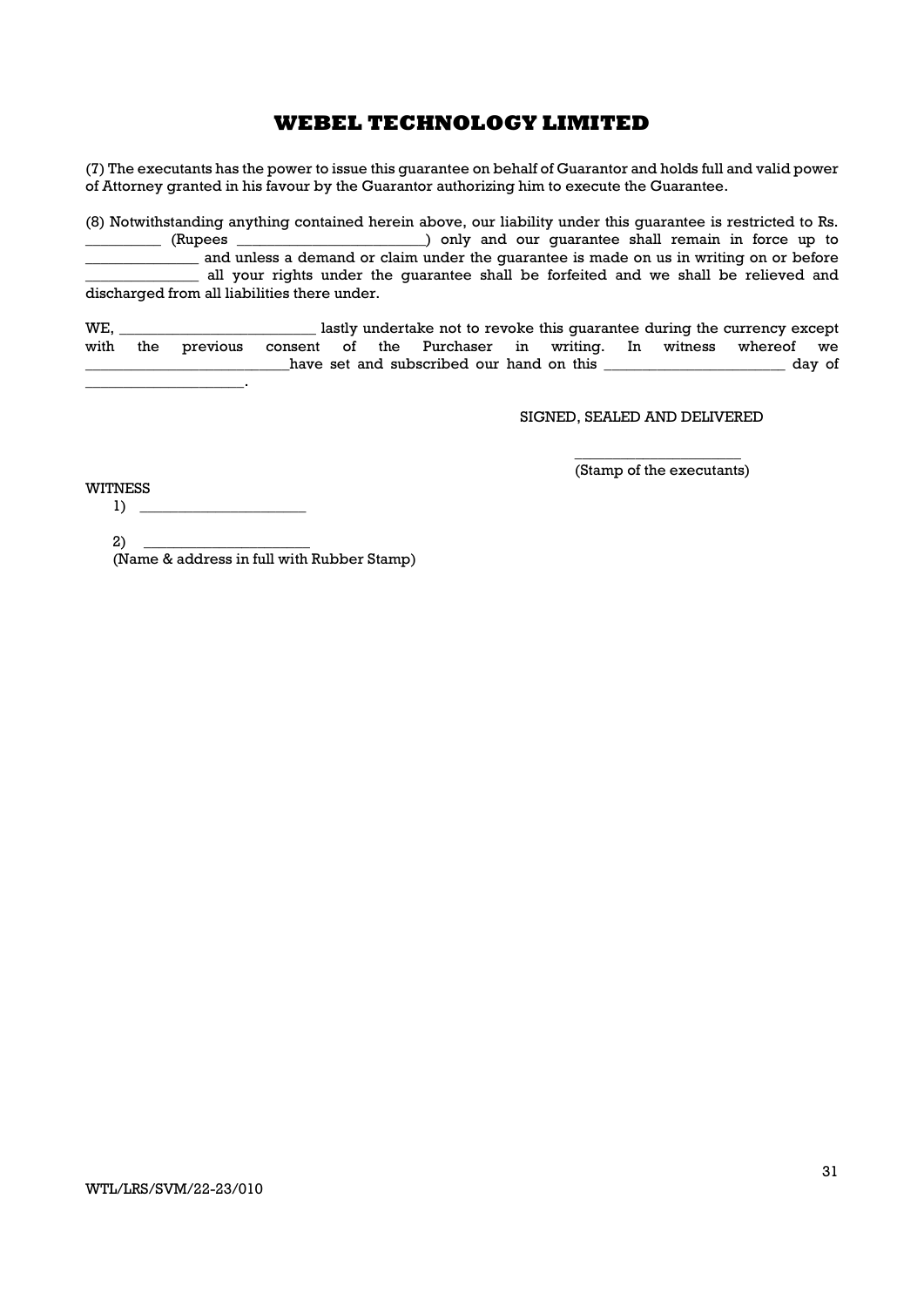(7) The executants has the power to issue this guarantee on behalf of Guarantor and holds full and valid power of Attorney granted in his favour by the Guarantor authorizing him to execute the Guarantee.

(8) Notwithstanding anything contained herein above, our liability under this guarantee is restricted to Rs. ) only and our quarantee shall remain in force up to and unless a demand or claim under the guarantee is made on us in writing on or before all your rights under the guarantee shall be forfeited and we shall be relieved and discharged from all liabilities there under.

WE, \_\_\_\_\_\_\_\_\_\_\_\_\_\_\_\_\_\_\_\_\_\_\_\_\_\_ lastly undertake not to revoke this guarantee during the currency except with the previous consent of the Purchaser in writing. In witness whereof we have set and subscribed our hand on this \_\_\_\_\_\_\_\_\_\_\_\_\_\_\_\_\_\_\_\_\_\_\_\_\_ day of  $\mathbb{Z}^2$ 

SIGNED, SEALED AND DELIVERED

 $\overline{\phantom{a}}$  , we can consider the constant of  $\overline{\phantom{a}}$ (Stamp of the executants)

WITNESS

 $1) \tightharpoonup$ 

 $2)$  \_ (Name & address in full with Rubber Stamp)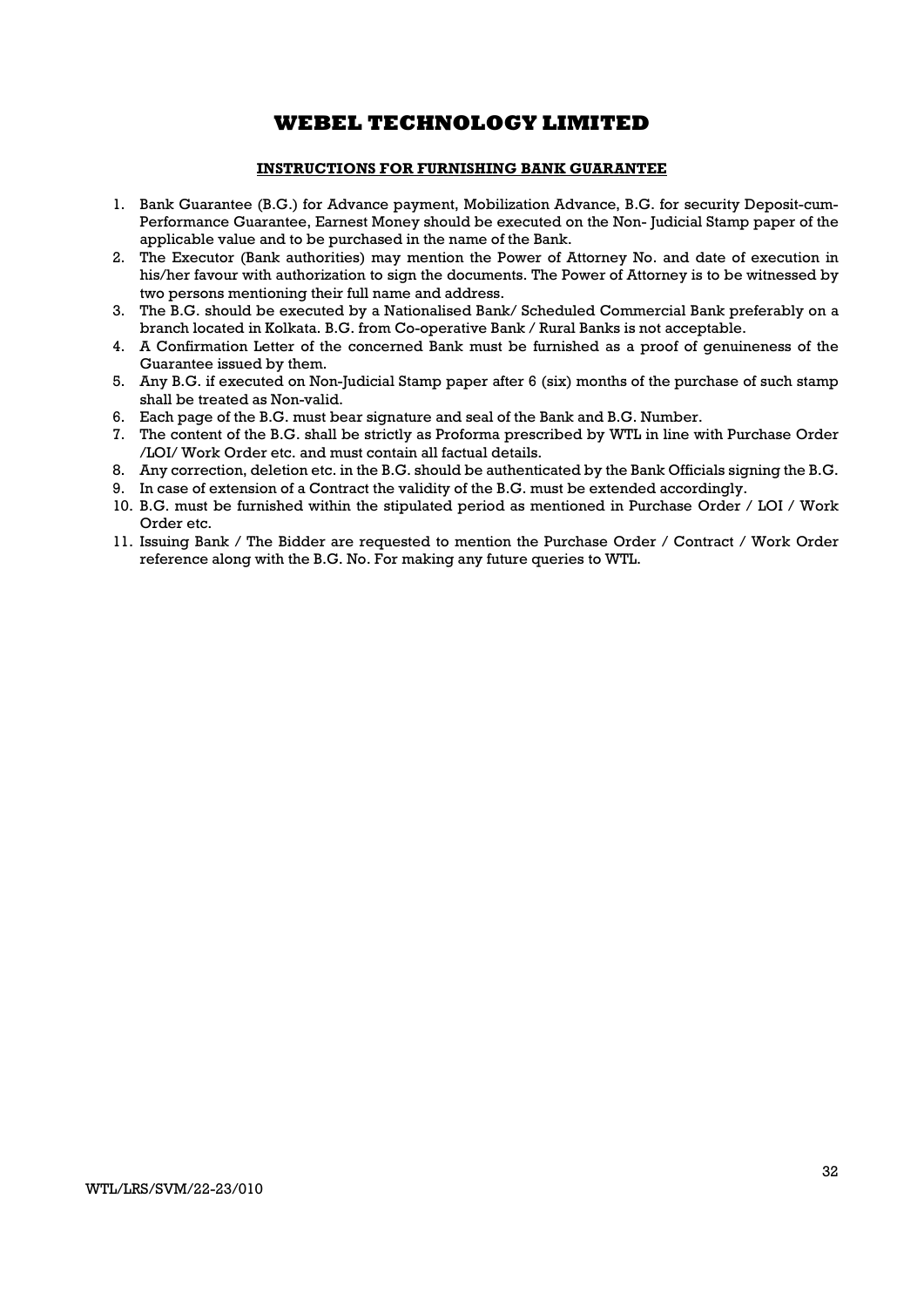### INSTRUCTIONS FOR FURNISHING BANK GUARANTEE

- 1. Bank Guarantee (B.G.) for Advance payment, Mobilization Advance, B.G. for security Deposit-cum-Performance Guarantee, Earnest Money should be executed on the Non- Judicial Stamp paper of the applicable value and to be purchased in the name of the Bank.
- 2. The Executor (Bank authorities) may mention the Power of Attorney No. and date of execution in his/her favour with authorization to sign the documents. The Power of Attorney is to be witnessed by two persons mentioning their full name and address.
- 3. The B.G. should be executed by a Nationalised Bank/ Scheduled Commercial Bank preferably on a branch located in Kolkata. B.G. from Co-operative Bank / Rural Banks is not acceptable.
- 4. A Confirmation Letter of the concerned Bank must be furnished as a proof of genuineness of the Guarantee issued by them.
- 5. Any B.G. if executed on Non-Judicial Stamp paper after 6 (six) months of the purchase of such stamp shall be treated as Non-valid.
- 6. Each page of the B.G. must bear signature and seal of the Bank and B.G. Number.
- 7. The content of the B.G. shall be strictly as Proforma prescribed by WTL in line with Purchase Order /LOI/ Work Order etc. and must contain all factual details.
- 8. Any correction, deletion etc. in the B.G. should be authenticated by the Bank Officials signing the B.G.
- 9. In case of extension of a Contract the validity of the B.G. must be extended accordingly.
- 10. B.G. must be furnished within the stipulated period as mentioned in Purchase Order / LOI / Work Order etc.
- 11. Issuing Bank / The Bidder are requested to mention the Purchase Order / Contract / Work Order reference along with the B.G. No. For making any future queries to WTL.